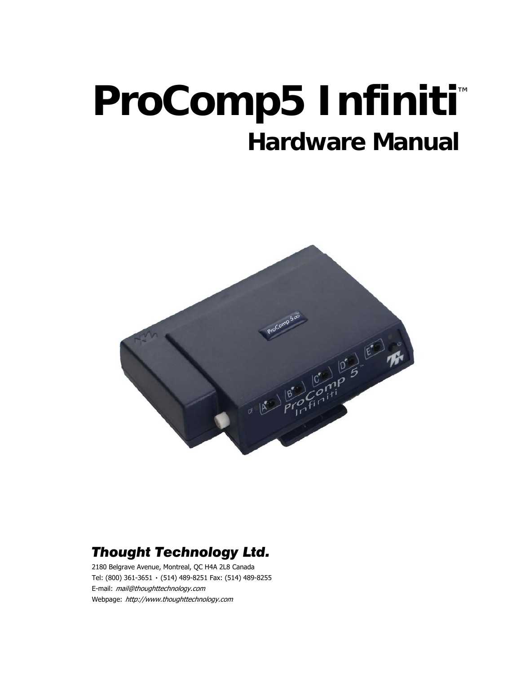# **ProComp5 Infiniti™ Hardware Manual**



# *Thought Technology Ltd.*

2180 Belgrave Avenue, Montreal, QC H4A 2L8 Canada Tel: (800) 361-3651 ٠ (514) 489-8251 Fax: (514) 489-8255 E-mail: mail@thoughttechnology.com Webpage: http://www.thoughttechnology.com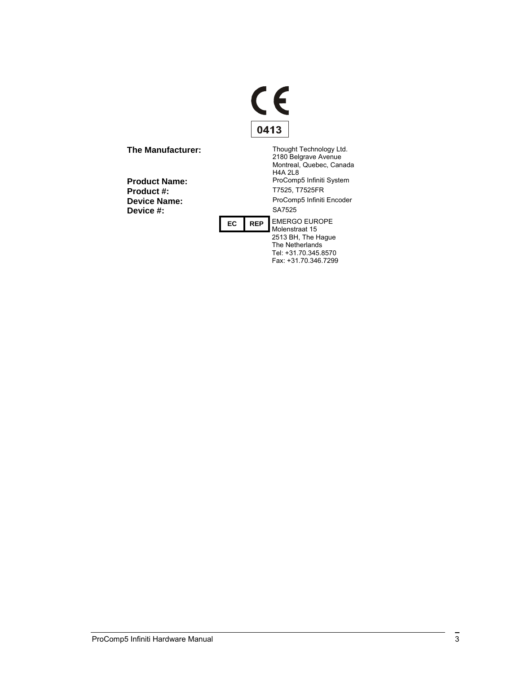| 0413 |  |
|------|--|

**Device #:** 

**The Manufacturer:** Thought Technology Ltd.<br>2180 Belgrave Avenue Montreal, Quebec, Canada H4A 2L8 **Product Name:** Product **Product Area**<br>Product #: T7525, T7525FR **Product #:** T7525, T7525FR **Device Name:** ProComp5 Infiniti Encoder<br> **Device #**<br> **ProComp5 Infiniti Encoder** 

**EC REP** EMERGO EUROPE Molenstraat 15 2513 BH, The Hague The Netherlands Tel: +31.70.345.8570 Fax: +31.70.346.7299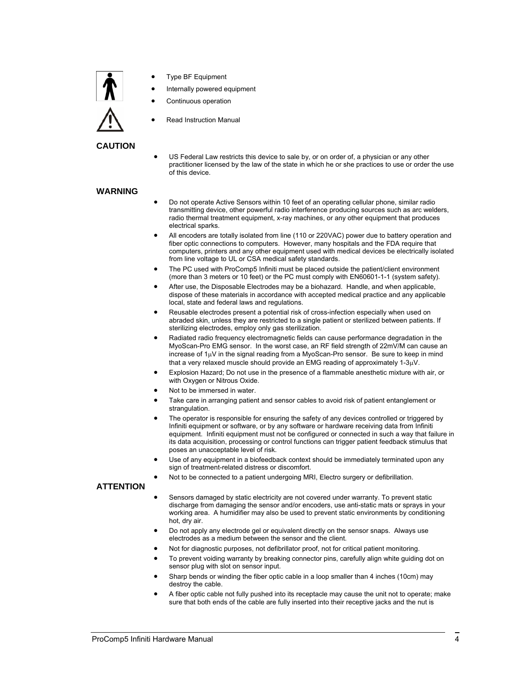

- Type BF Equipment
- Internally powered equipment
- Continuous operation
- **Read Instruction Manual**

#### **CAUTION**

US Federal Law restricts this device to sale by, or on order of, a physician or any other practitioner licensed by the law of the state in which he or she practices to use or order the use of this device.

#### **WARNING**

- Do not operate Active Sensors within 10 feet of an operating cellular phone, similar radio transmitting device, other powerful radio interference producing sources such as arc welders, radio thermal treatment equipment, x-ray machines, or any other equipment that produces electrical sparks.
- All encoders are totally isolated from line (110 or 220VAC) power due to battery operation and fiber optic connections to computers. However, many hospitals and the FDA require that computers, printers and any other equipment used with medical devices be electrically isolated from line voltage to UL or CSA medical safety standards.
- The PC used with ProComp5 Infiniti must be placed outside the patient/client environment (more than 3 meters or 10 feet) or the PC must comply with EN60601-1-1 (system safety).
- After use, the Disposable Electrodes may be a biohazard. Handle, and when applicable, dispose of these materials in accordance with accepted medical practice and any applicable local, state and federal laws and regulations.
- Reusable electrodes present a potential risk of cross-infection especially when used on abraded skin, unless they are restricted to a single patient or sterilized between patients. If sterilizing electrodes, employ only gas sterilization.
- Radiated radio frequency electromagnetic fields can cause performance degradation in the MyoScan-Pro EMG sensor. In the worst case, an RF field strength of 22mV/M can cause an increase of  $1\mu$ V in the signal reading from a MyoScan-Pro sensor. Be sure to keep in mind that a very relaxed muscle should provide an EMG reading of approximately 1-3μV.
- Explosion Hazard; Do not use in the presence of a flammable anesthetic mixture with air, or with Oxygen or Nitrous Oxide.
- Not to be immersed in water.
- Take care in arranging patient and sensor cables to avoid risk of patient entanglement or strangulation.
- The operator is responsible for ensuring the safety of any devices controlled or triggered by Infiniti equipment or software, or by any software or hardware receiving data from Infiniti equipment. Infiniti equipment must not be configured or connected in such a way that failure in its data acquisition, processing or control functions can trigger patient feedback stimulus that poses an unacceptable level of risk.
- Use of any equipment in a biofeedback context should be immediately terminated upon any sign of treatment-related distress or discomfort.
- Not to be connected to a patient undergoing MRI, Electro surgery or defibrillation.

#### **ATTENTION**

- Sensors damaged by static electricity are not covered under warranty. To prevent static discharge from damaging the sensor and/or encoders, use anti-static mats or sprays in your working area. A humidifier may also be used to prevent static environments by conditioning hot, dry air.
- Do not apply any electrode gel or equivalent directly on the sensor snaps. Always use electrodes as a medium between the sensor and the client.
- Not for diagnostic purposes, not defibrillator proof, not for critical patient monitoring.
- To prevent voiding warranty by breaking connector pins, carefully align white guiding dot on sensor plug with slot on sensor input.
- Sharp bends or winding the fiber optic cable in a loop smaller than 4 inches (10cm) may destroy the cable.
- A fiber optic cable not fully pushed into its receptacle may cause the unit not to operate; make sure that both ends of the cable are fully inserted into their receptive jacks and the nut is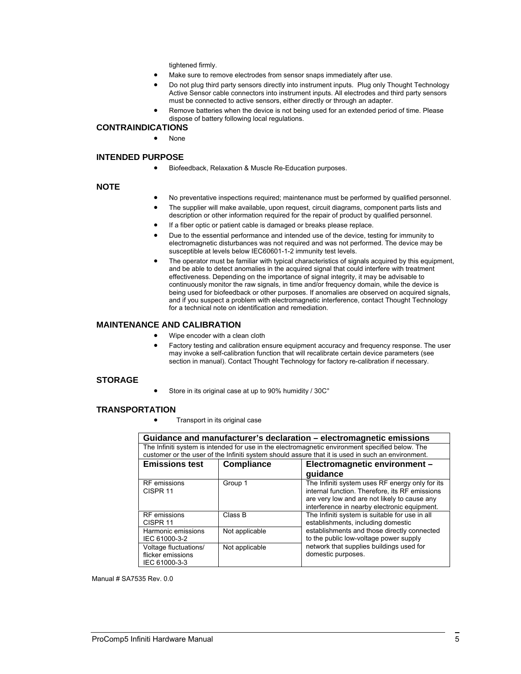tightened firmly.

- Make sure to remove electrodes from sensor snaps immediately after use.
- Do not plug third party sensors directly into instrument inputs. Plug only Thought Technology Active Sensor cable connectors into instrument inputs. All electrodes and third party sensors must be connected to active sensors, either directly or through an adapter.
	- Remove batteries when the device is not being used for an extended period of time. Please dispose of battery following local regulations.

#### **CONTRAINDICATIONS**

• None

#### **INTENDED PURPOSE**

• Biofeedback, Relaxation & Muscle Re-Education purposes.

#### **NOTE**

- No preventative inspections required; maintenance must be performed by qualified personnel.
- The supplier will make available, upon request, circuit diagrams, component parts lists and description or other information required for the repair of product by qualified personnel.
- If a fiber optic or patient cable is damaged or breaks please replace.
- Due to the essential performance and intended use of the device, testing for immunity to electromagnetic disturbances was not required and was not performed. The device may be susceptible at levels below IEC60601-1-2 immunity test levels.
- The operator must be familiar with typical characteristics of signals acquired by this equipment, and be able to detect anomalies in the acquired signal that could interfere with treatment effectiveness. Depending on the importance of signal integrity, it may be advisable to continuously monitor the raw signals, in time and/or frequency domain, while the device is being used for biofeedback or other purposes. If anomalies are observed on acquired signals, and if you suspect a problem with electromagnetic interference, contact Thought Technology for a technical note on identification and remediation.

#### **MAINTENANCE AND CALIBRATION**

- Wipe encoder with a clean cloth
- Factory testing and calibration ensure equipment accuracy and frequency response. The user may invoke a self-calibration function that will recalibrate certain device parameters (see section in manual). Contact Thought Technology for factory re-calibration if necessary.

#### **STORAGE**

• Store in its original case at up to 90% humidity / 30C°

#### **TRANSPORTATION**

• Transport in its original case

| Guidance and manufacturer's declaration – electromagnetic emissions                               |                                             |                                                 |  |  |  |  |
|---------------------------------------------------------------------------------------------------|---------------------------------------------|-------------------------------------------------|--|--|--|--|
| The Infiniti system is intended for use in the electromagnetic environment specified below. The   |                                             |                                                 |  |  |  |  |
| customer or the user of the Infiniti system should assure that it is used in such an environment. |                                             |                                                 |  |  |  |  |
| <b>Emissions test</b>                                                                             | Electromagnetic environment -<br>Compliance |                                                 |  |  |  |  |
|                                                                                                   |                                             | guidance                                        |  |  |  |  |
| RF emissions                                                                                      | Group 1                                     | The Infiniti system uses RF energy only for its |  |  |  |  |
| CISPR 11                                                                                          |                                             | internal function. Therefore, its RF emissions  |  |  |  |  |
|                                                                                                   |                                             | are very low and are not likely to cause any    |  |  |  |  |
|                                                                                                   |                                             | interference in nearby electronic equipment.    |  |  |  |  |
| <b>RF</b> emissions                                                                               | Class B                                     | The Infiniti system is suitable for use in all  |  |  |  |  |
| CISPR 11                                                                                          |                                             | establishments, including domestic              |  |  |  |  |
| Harmonic emissions                                                                                | Not applicable                              | establishments and those directly connected     |  |  |  |  |
| IEC 61000-3-2                                                                                     |                                             | to the public low-voltage power supply          |  |  |  |  |
| Voltage fluctuations/                                                                             | Not applicable                              | network that supplies buildings used for        |  |  |  |  |
| flicker emissions                                                                                 |                                             | domestic purposes.                              |  |  |  |  |
| IEC 61000-3-3                                                                                     |                                             |                                                 |  |  |  |  |

Manual # SA7535 Rev. 0.0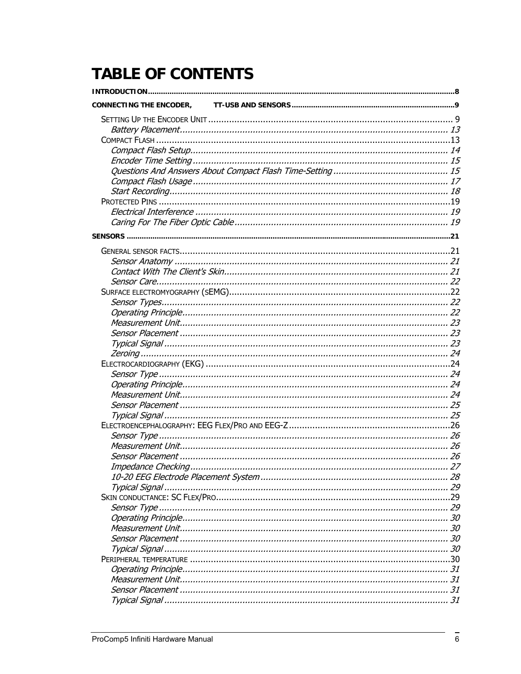# **TABLE OF CONTENTS**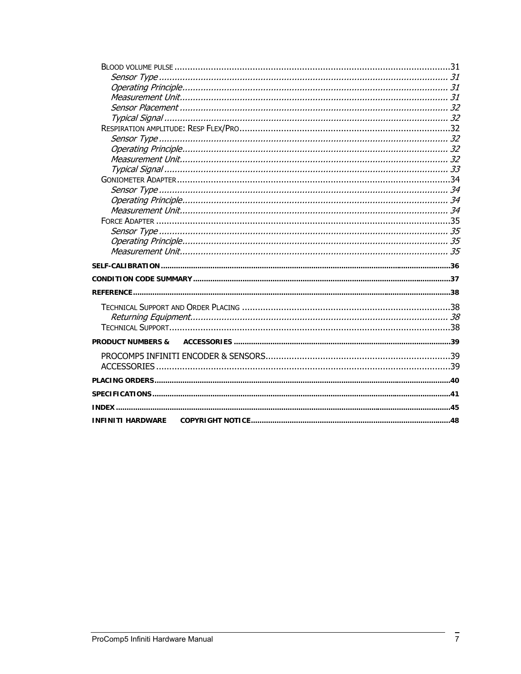| <b>PRODUCT NUMBERS &amp;</b> |  |
|------------------------------|--|
|                              |  |
|                              |  |
|                              |  |
|                              |  |
|                              |  |
|                              |  |
|                              |  |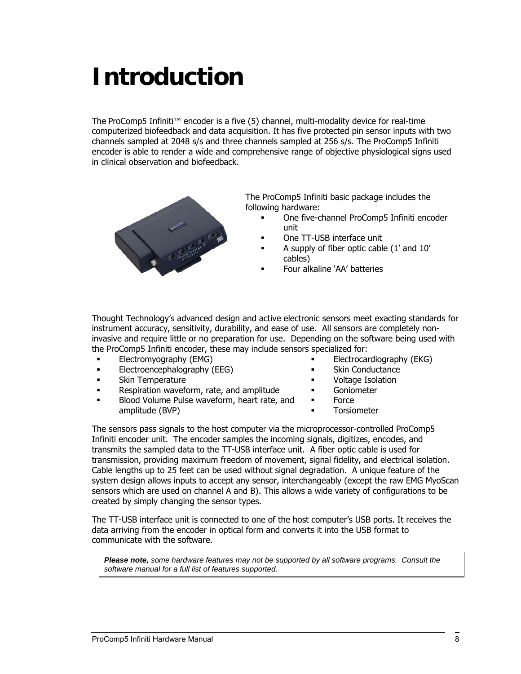# <span id="page-7-0"></span>**Introduction**

The ProComp5 Infiniti™ encoder is a five (5) channel, multi-modality device for real-time computerized biofeedback and data acquisition. It has five protected pin sensor inputs with two channels sampled at 2048 s/s and three channels sampled at 256 s/s. The ProComp5 Infiniti encoder is able to render a wide and comprehensive range of objective physiological signs used in clinical observation and biofeedback.



The ProComp5 Infiniti basic package includes the following hardware:

- One five-channel ProComp5 Infiniti encoder unit
- One TT-USB interface unit
- A supply of fiber optic cable (1' and 10' cables)
- Four alkaline 'AA' batteries

Thought Technology's advanced design and active electronic sensors meet exacting standards for instrument accuracy, sensitivity, durability, and ease of use. All sensors are completely noninvasive and require little or no preparation for use. Depending on the software being used with the ProComp5 Infiniti encoder, these may include sensors specialized for:

- 
- **Electroencephalography (EEG)** Skin Conductance
- **Skin Temperature**  Voltage Isolation
- **Respiration waveform, rate, and amplitude**
- Blood Volume Pulse waveform, heart rate, and amplitude (BVP)
- Electromyography (EMG) Electrocardiography (EKG)
	-
	-
	- **Goniometer**
	- Force
	- **Torsiometer**

The sensors pass signals to the host computer via the microprocessor-controlled ProComp5 Infiniti encoder unit. The encoder samples the incoming signals, digitizes, encodes, and transmits the sampled data to the TT-USB interface unit. A fiber optic cable is used for transmission, providing maximum freedom of movement, signal fidelity, and electrical isolation. Cable lengths up to 25 feet can be used without signal degradation. A unique feature of the system design allows inputs to accept any sensor, interchangeably (except the raw EMG MyoScan sensors which are used on channel A and B). This allows a wide variety of configurations to be created by simply changing the sensor types.

The TT-USB interface unit is connected to one of the host computer's USB ports. It receives the data arriving from the encoder in optical form and converts it into the USB format to communicate with the software.

*Please note, some hardware features may not be supported by all software programs. Consult the software manual for a full list of features supported.*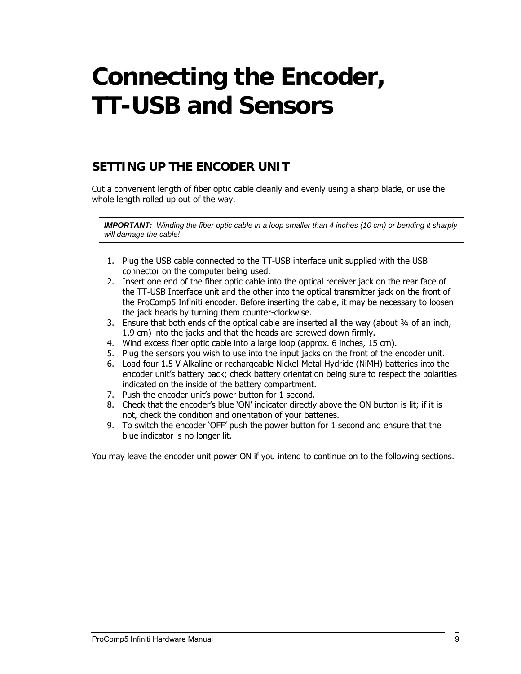# <span id="page-8-0"></span>**Connecting the Encoder, TT-USB and Sensors**

# **SETTING UP THE ENCODER UNIT**

Cut a convenient length of fiber optic cable cleanly and evenly using a sharp blade, or use the whole length rolled up out of the way.

*IMPORTANT: Winding the fiber optic cable in a loop smaller than 4 inches (10 cm) or bending it sharply will damage the cable!* 

- 1. Plug the USB cable connected to the TT-USB interface unit supplied with the USB connector on the computer being used.
- 2. Insert one end of the fiber optic cable into the optical receiver jack on the rear face of the TT-USB Interface unit and the other into the optical transmitter jack on the front of the ProComp5 Infiniti encoder. Before inserting the cable, it may be necessary to loosen the jack heads by turning them counter-clockwise.
- 3. Ensure that both ends of the optical cable are inserted all the way (about 34 of an inch, 1.9 cm) into the jacks and that the heads are screwed down firmly.
- 4. Wind excess fiber optic cable into a large loop (approx. 6 inches, 15 cm).
- 5. Plug the sensors you wish to use into the input jacks on the front of the encoder unit.
- 6. Load four 1.5 V Alkaline or rechargeable Nickel-Metal Hydride (NiMH) batteries into the encoder unit's battery pack; check battery orientation being sure to respect the polarities indicated on the inside of the battery compartment.
- 7. Push the encoder unit's power button for 1 second.
- 8. Check that the encoder's blue 'ON' indicator directly above the ON button is lit; if it is not, check the condition and orientation of your batteries.
- 9. To switch the encoder 'OFF' push the power button for 1 second and ensure that the blue indicator is no longer lit.

You may leave the encoder unit power ON if you intend to continue on to the following sections.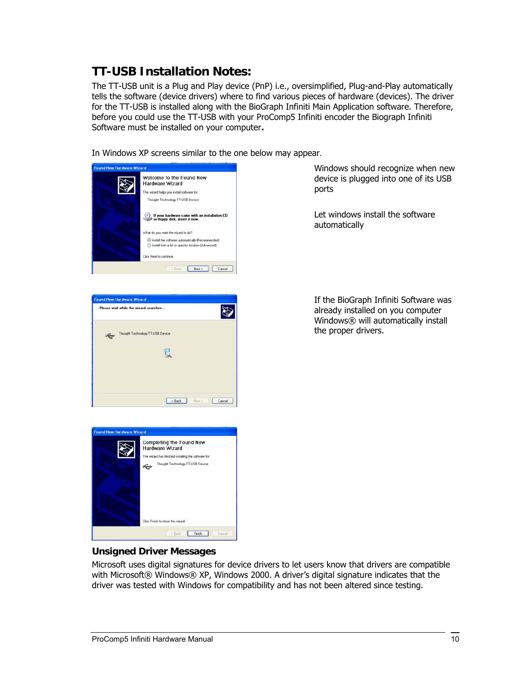# **TT-USB Installation Notes:**

The TT-USB unit is a Plug and Play device (PnP) i.e., oversimplified, Plug-and-Play automatically tells the software (device drivers) where to find various pieces of hardware (devices). The driver for the TT-USB is installed along with the BioGraph Infiniti Main Application software. Therefore, before you could use the TT-USB with your ProComp5 Infiniti encoder the Biograph Infiniti Software must be installed on your computer**.** 

In Windows XP screens similar to the one below may appear.

E



ound New Hardware Wizard Please wait while the wizard searches...

Thought Technology TT-USB Device

Windows should recognize when new device is plugged into one of its USB ports

Let windows install the software automatically

If the BioGraph Infiniti Software was already installed on you computer Windows® will automatically install the proper drivers.



 $\overline{\mathbb{C}}$ 

Cancel Next Cancel

### **Unsigned Driver Messages**

Microsoft uses digital signatures for device drivers to let users know that drivers are compatible with Microsoft® Windows® XP, Windows 2000. A driver's digital signature indicates that the driver was tested with Windows for compatibility and has not been altered since testing.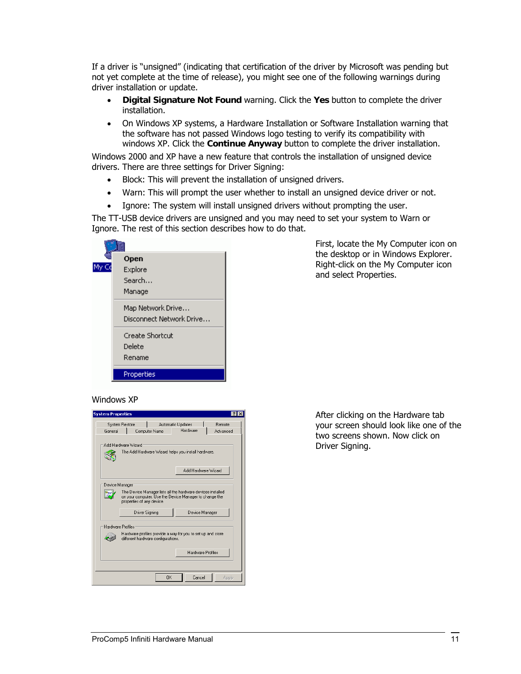If a driver is "unsigned" (indicating that certification of the driver by Microsoft was pending but not yet complete at the time of release), you might see one of the following warnings during driver installation or update.

- **Digital Signature Not Found** warning. Click the **Yes** button to complete the driver installation.
- On Windows XP systems, a Hardware Installation or Software Installation warning that the software has not passed Windows logo testing to verify its compatibility with windows XP. Click the **Continue Anyway** button to complete the driver installation.

Windows 2000 and XP have a new feature that controls the installation of unsigned device drivers. There are three settings for Driver Signing:

- Block: This will prevent the installation of unsigned drivers.
- Warn: This will prompt the user whether to install an unsigned device driver or not.
- Ignore: The system will install unsigned drivers without prompting the user.

The TT-USB device drivers are unsigned and you may need to set your system to Warn or Ignore. The rest of this section describes how to do that.

| Open                     |
|--------------------------|
| Explore                  |
| Search                   |
| Manage                   |
| Map Network Drive        |
| Disconnect Network Drive |
| Create Shortcut          |
| Delete                   |
| Rename                   |
| Properties               |

First, locate the My Computer icon on the desktop or in Windows Explorer. Right-click on the My Computer icon and select Properties.

#### Windows XP

| Hardware<br>General<br>Computer Name<br>Add Hardware Wizard<br>The Add Hardware Wizard helps you install hardware.<br>Add Hardware Wizard<br>Device Manager<br>The Device Manager lists all the hardware devices installed<br>on your computer. Use the Device Manager to change the<br>properties of any device.<br>Driver Signing<br>Device Manager<br>Hardware Profiles:<br>Hardware profiles provide a way for you to set up and store<br>different hardware configurations.<br>Hardware Profiles | System Restore | Automatic Updates | <b>Bemote</b> |
|-------------------------------------------------------------------------------------------------------------------------------------------------------------------------------------------------------------------------------------------------------------------------------------------------------------------------------------------------------------------------------------------------------------------------------------------------------------------------------------------------------|----------------|-------------------|---------------|
|                                                                                                                                                                                                                                                                                                                                                                                                                                                                                                       |                |                   | Advanced      |
|                                                                                                                                                                                                                                                                                                                                                                                                                                                                                                       |                |                   |               |
|                                                                                                                                                                                                                                                                                                                                                                                                                                                                                                       |                |                   |               |
|                                                                                                                                                                                                                                                                                                                                                                                                                                                                                                       |                |                   |               |
|                                                                                                                                                                                                                                                                                                                                                                                                                                                                                                       |                |                   |               |
|                                                                                                                                                                                                                                                                                                                                                                                                                                                                                                       |                |                   |               |
|                                                                                                                                                                                                                                                                                                                                                                                                                                                                                                       |                |                   |               |
|                                                                                                                                                                                                                                                                                                                                                                                                                                                                                                       |                |                   |               |
|                                                                                                                                                                                                                                                                                                                                                                                                                                                                                                       |                |                   |               |
|                                                                                                                                                                                                                                                                                                                                                                                                                                                                                                       |                |                   |               |
|                                                                                                                                                                                                                                                                                                                                                                                                                                                                                                       |                |                   |               |
|                                                                                                                                                                                                                                                                                                                                                                                                                                                                                                       |                |                   |               |
|                                                                                                                                                                                                                                                                                                                                                                                                                                                                                                       |                |                   |               |
|                                                                                                                                                                                                                                                                                                                                                                                                                                                                                                       |                |                   |               |

After clicking on the Hardware tab your screen should look like one of the two screens shown. Now click on Driver Signing.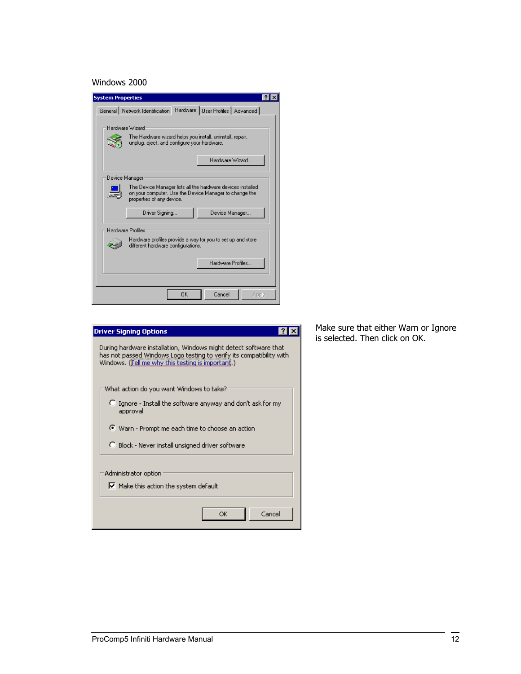#### Windows 2000

| <b>System Properties</b>                                                                                                                           |                   |
|----------------------------------------------------------------------------------------------------------------------------------------------------|-------------------|
| Hardware   User Profiles   Advanced  <br>General Network Identification                                                                            |                   |
| Hardware Wizard<br>The Hardware wizard helps you install, uninstall, repair,<br>unplug, eject, and configure your hardware.                        |                   |
|                                                                                                                                                    | Hardware Wizard   |
| Device Manager                                                                                                                                     |                   |
| The Device Manager lists all the hardware devices installed<br>on your computer. Use the Device Manager to change the<br>properties of any device. |                   |
| Driver Signing                                                                                                                                     | Device Manager    |
| Hardware Profiles                                                                                                                                  |                   |
| Hardware profiles provide a way for you to set up and store<br>different hardware configurations.                                                  |                   |
|                                                                                                                                                    | Hardware Profiles |
|                                                                                                                                                    |                   |
| <b>OK</b><br>Cancel                                                                                                                                | Apply             |

| <b>Driver Signing Options</b>                                                                                                                                                                  |  |  |
|------------------------------------------------------------------------------------------------------------------------------------------------------------------------------------------------|--|--|
| During hardware installation, Windows might detect software that<br>has not passed Windows Logo testing to verify its compatibility with<br>Windows. (Tell me why this testing is important).) |  |  |
| What action do you want Windows to take?                                                                                                                                                       |  |  |
| <b>C</b> Ignore - Install the software anyway and don't ask for my<br>approval                                                                                                                 |  |  |
| Warn - Prompt me each time to choose an action                                                                                                                                                 |  |  |
| C Block - Never install unsigned driver software                                                                                                                                               |  |  |
| Administrator option<br>$\triangledown$ Make this action the system default                                                                                                                    |  |  |
| Cancel<br>ОК                                                                                                                                                                                   |  |  |

Make sure that either Warn or Ignore is selected. Then click on OK.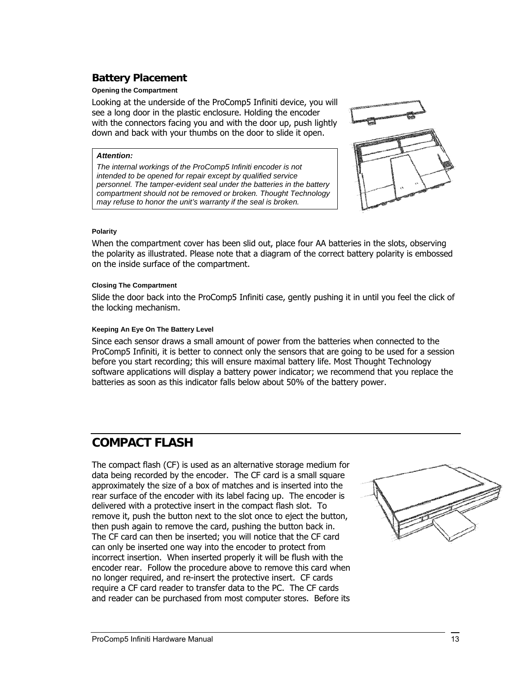## <span id="page-12-0"></span>**Battery Placement**

#### **Opening the Compartment**

Looking at the underside of the ProComp5 Infiniti device, you will see a long door in the plastic enclosure. Holding the encoder with the connectors facing you and with the door up, push lightly down and back with your thumbs on the door to slide it open.

#### *Attention:*

*The internal workings of the ProComp5 Infiniti encoder is not intended to be opened for repair except by qualified service personnel. The tamper-evident seal under the batteries in the battery compartment should not be removed or broken. Thought Technology may refuse to honor the unit's warranty if the seal is broken.* 



#### **Polarity**

When the compartment cover has been slid out, place four AA batteries in the slots, observing the polarity as illustrated. Please note that a diagram of the correct battery polarity is embossed on the inside surface of the compartment.

#### **Closing The Compartment**

Slide the door back into the ProComp5 Infiniti case, gently pushing it in until you feel the click of the locking mechanism.

#### **Keeping An Eye On The Battery Level**

Since each sensor draws a small amount of power from the batteries when connected to the ProComp5 Infiniti, it is better to connect only the sensors that are going to be used for a session before you start recording; this will ensure maximal battery life. Most Thought Technology software applications will display a battery power indicator; we recommend that you replace the batteries as soon as this indicator falls below about 50% of the battery power.

# **COMPACT FLASH**

The compact flash (CF) is used as an alternative storage medium for data being recorded by the encoder. The CF card is a small square approximately the size of a box of matches and is inserted into the rear surface of the encoder with its label facing up. The encoder is delivered with a protective insert in the compact flash slot. To remove it, push the button next to the slot once to eject the button, then push again to remove the card, pushing the button back in. The CF card can then be inserted; you will notice that the CF card can only be inserted one way into the encoder to protect from incorrect insertion. When inserted properly it will be flush with the encoder rear. Follow the procedure above to remove this card when no longer required, and re-insert the protective insert. CF cards require a CF card reader to transfer data to the PC. The CF cards and reader can be purchased from most computer stores. Before its

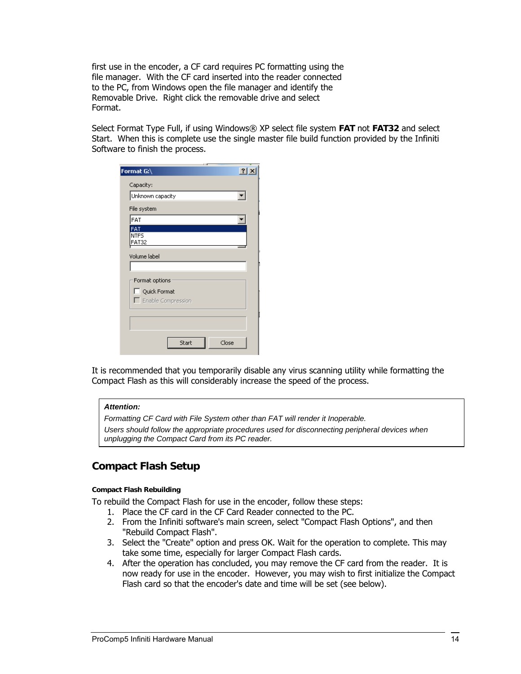<span id="page-13-0"></span>first use in the encoder, a CF card requires PC formatting using the file manager. With the CF card inserted into the reader connected to the PC, from Windows open the file manager and identify the Removable Drive. Right click the removable drive and select Format.

Select Format Type Full, if using Windows® XP select file system **FAT** not **FAT32** and select Start. When this is complete use the single master file build function provided by the Infiniti Software to finish the process.

| Format G:\                  | $\cdots$<br>$ ?  \times$ |
|-----------------------------|--------------------------|
|                             |                          |
| Capacity:                   |                          |
| Unknown capacity            |                          |
| File system                 |                          |
| FAT                         |                          |
| <b>FAT</b>                  |                          |
| <b>NTFS</b><br><b>FAT32</b> |                          |
| Volume label                |                          |
|                             |                          |
| Format options              |                          |
| Quick Format                |                          |
| $\Box$ Enable Compression   |                          |
|                             |                          |
|                             |                          |
| Start                       | Close                    |

It is recommended that you temporarily disable any virus scanning utility while formatting the Compact Flash as this will considerably increase the speed of the process.

#### *Attention:*

*Formatting CF Card with File System other than FAT will render it Inoperable. Users should follow the appropriate procedures used for disconnecting peripheral devices when unplugging the Compact Card from its PC reader.* 

## **Compact Flash Setup**

#### **Compact Flash Rebuilding**

To rebuild the Compact Flash for use in the encoder, follow these steps:

- 1. Place the CF card in the CF Card Reader connected to the PC.
- 2. From the Infiniti software's main screen, select "Compact Flash Options", and then "Rebuild Compact Flash".
- 3. Select the "Create" option and press OK. Wait for the operation to complete. This may take some time, especially for larger Compact Flash cards.
- 4. After the operation has concluded, you may remove the CF card from the reader. It is now ready for use in the encoder. However, you may wish to first initialize the Compact Flash card so that the encoder's date and time will be set (see below).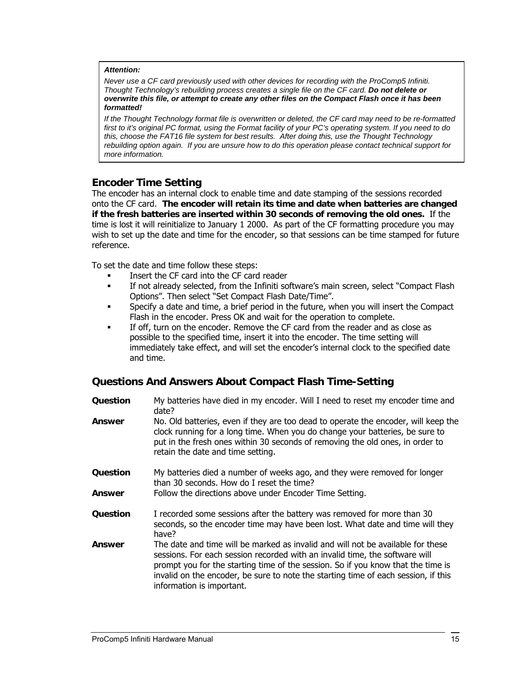#### <span id="page-14-0"></span>*Attention:*

*Never use a CF card previously used with other devices for recording with the ProComp5 Infiniti. Thought Technology's rebuilding process creates a single file on the CF card. Do not delete or overwrite this file, or attempt to create any other files on the Compact Flash once it has been formatted!*

*If the Thought Technology format file is overwritten or deleted, the CF card may need to be re-formatted first to it's original PC format, using the Format facility of your PC's operating system. If you need to do this, choose the FAT16 file system for best results. After doing this, use the Thought Technology rebuilding option again. If you are unsure how to do this operation please contact technical support for more information.* 

### **Encoder Time Setting**

The encoder has an internal clock to enable time and date stamping of the sessions recorded onto the CF card. **The encoder will retain its time and date when batteries are changed if the fresh batteries are inserted within 30 seconds of removing the old ones.** If the time is lost it will reinitialize to January 1 2000. As part of the CF formatting procedure you may wish to set up the date and time for the encoder, so that sessions can be time stamped for future reference.

To set the date and time follow these steps:

- Insert the CF card into the CF card reader
- If not already selected, from the Infiniti software's main screen, select "Compact Flash Options". Then select "Set Compact Flash Date/Time".
- Specify a date and time, a brief period in the future, when you will insert the Compact Flash in the encoder. Press OK and wait for the operation to complete.
- If off, turn on the encoder. Remove the CF card from the reader and as close as possible to the specified time, insert it into the encoder. The time setting will immediately take effect, and will set the encoder's internal clock to the specified date and time.

## **Questions And Answers About Compact Flash Time-Setting**

**Question** My batteries have died in my encoder. Will I need to reset my encoder time and date? **Answer** No. Old batteries, even if they are too dead to operate the encoder, will keep the clock running for a long time. When you do change your batteries, be sure to put in the fresh ones within 30 seconds of removing the old ones, in order to retain the date and time setting. **Question** My batteries died a number of weeks ago, and they were removed for longer than 30 seconds. How do I reset the time? **Answer** Follow the directions above under Encoder Time Setting. **Question** I recorded some sessions after the battery was removed for more than 30 seconds, so the encoder time may have been lost. What date and time will they have? **Answer** The date and time will be marked as invalid and will not be available for these sessions. For each session recorded with an invalid time, the software will prompt you for the starting time of the session. So if you know that the time is invalid on the encoder, be sure to note the starting time of each session, if this information is important.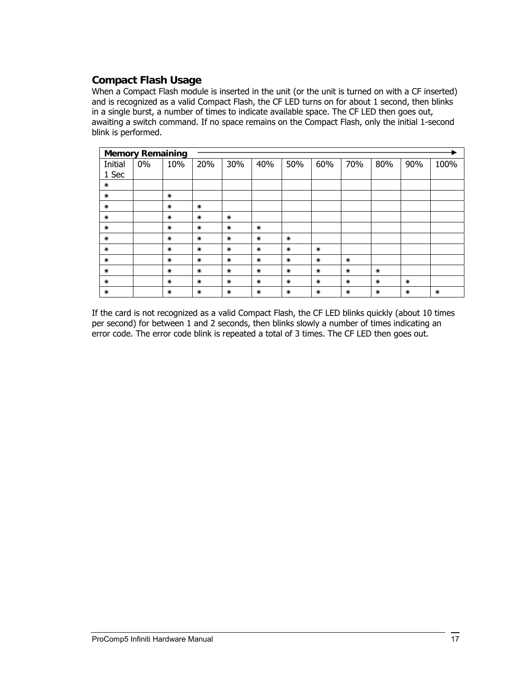## <span id="page-16-0"></span>**Compact Flash Usage**

When a Compact Flash module is inserted in the unit (or the unit is turned on with a CF inserted) and is recognized as a valid Compact Flash, the CF LED turns on for about 1 second, then blinks in a single burst, a number of times to indicate available space. The CF LED then goes out, awaiting a switch command. If no space remains on the Compact Flash, only the initial 1-second blink is performed.

|                  | <b>Memory Remaining</b> |        |        |        |        |        |        |        |        |        |        |
|------------------|-------------------------|--------|--------|--------|--------|--------|--------|--------|--------|--------|--------|
| Initial<br>1 Sec | 0%                      | 10%    | 20%    | 30%    | 40%    | 50%    | 60%    | 70%    | 80%    | 90%    | 100%   |
| $\ast$           |                         |        |        |        |        |        |        |        |        |        |        |
| $\ast$           |                         | $\ast$ |        |        |        |        |        |        |        |        |        |
| $\ast$           |                         | $\ast$ | $\ast$ |        |        |        |        |        |        |        |        |
| $\ast$           |                         | $\ast$ | $\ast$ | $\ast$ |        |        |        |        |        |        |        |
| $\ast$           |                         | $\ast$ | $\ast$ | $\ast$ | $\ast$ |        |        |        |        |        |        |
| $\ast$           |                         | $\ast$ | $\ast$ | $\ast$ | $\ast$ | $\ast$ |        |        |        |        |        |
| $\ast$           |                         | $\ast$ | $\ast$ | $\ast$ | $\ast$ | $\ast$ | $\ast$ |        |        |        |        |
| $\ast$           |                         | $\ast$ | ∗      | $\ast$ | $\ast$ | ⋇      | $\ast$ | $\ast$ |        |        |        |
| $\ast$           |                         | $\ast$ | $\ast$ | $\ast$ | $\ast$ | $\ast$ | $\ast$ | $\ast$ | $\ast$ |        |        |
| $\ast$           |                         | $\ast$ | $\ast$ | $\ast$ | $\ast$ | $\ast$ | $\ast$ | $\ast$ | $\ast$ | $\ast$ |        |
| ∗                |                         | $\ast$ | ₩      | ⋇      | ∗      | ⋇      | ⋇      | $\ast$ | ⋇      | ⋇      | $\ast$ |

If the card is not recognized as a valid Compact Flash, the CF LED blinks quickly (about 10 times per second) for between 1 and 2 seconds, then blinks slowly a number of times indicating an error code. The error code blink is repeated a total of 3 times. The CF LED then goes out.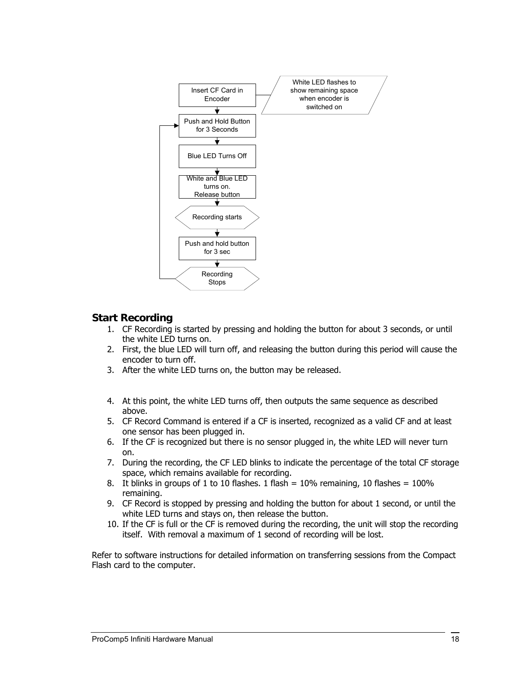<span id="page-17-0"></span>

## **Start Recording**

- 1. CF Recording is started by pressing and holding the button for about 3 seconds, or until the white LED turns on.
- 2. First, the blue LED will turn off, and releasing the button during this period will cause the encoder to turn off.
- 3. After the white LED turns on, the button may be released.
- 4. At this point, the white LED turns off, then outputs the same sequence as described above.
- 5. CF Record Command is entered if a CF is inserted, recognized as a valid CF and at least one sensor has been plugged in.
- 6. If the CF is recognized but there is no sensor plugged in, the white LED will never turn on.
- 7. During the recording, the CF LED blinks to indicate the percentage of the total CF storage space, which remains available for recording.
- 8. It blinks in groups of 1 to 10 flashes. 1 flash =  $10\%$  remaining, 10 flashes =  $100\%$ remaining.
- 9. CF Record is stopped by pressing and holding the button for about 1 second, or until the white LED turns and stays on, then release the button.
- 10. If the CF is full or the CF is removed during the recording, the unit will stop the recording itself. With removal a maximum of 1 second of recording will be lost.

Refer to software instructions for detailed information on transferring sessions from the Compact Flash card to the computer.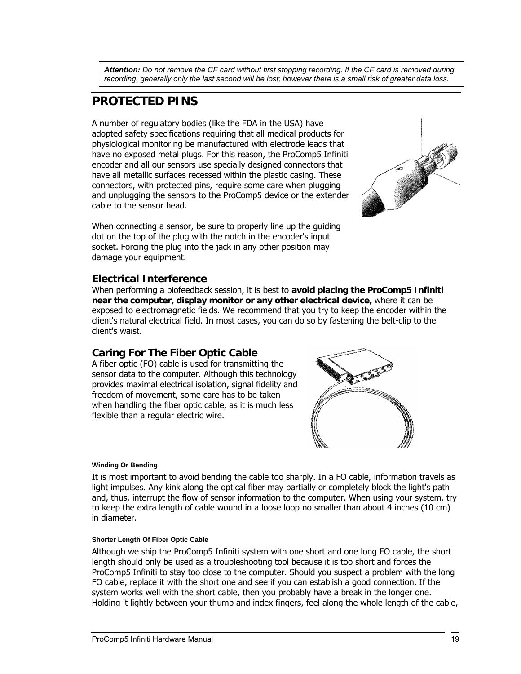<span id="page-18-0"></span>*Attention: Do not remove the CF card without first stopping recording. If the CF card is removed during recording, generally only the last second will be lost; however there is a small risk of greater data loss.* 

# **PROTECTED PINS**

A number of regulatory bodies (like the FDA in the USA) have adopted safety specifications requiring that all medical products for physiological monitoring be manufactured with electrode leads that have no exposed metal plugs. For this reason, the ProComp5 Infiniti encoder and all our sensors use specially designed connectors that have all metallic surfaces recessed within the plastic casing. These connectors, with protected pins, require some care when plugging and unplugging the sensors to the ProComp5 device or the extender cable to the sensor head.

When connecting a sensor, be sure to properly line up the guiding dot on the top of the plug with the notch in the encoder's input socket. Forcing the plug into the jack in any other position may damage your equipment.



#### **Electrical Interference**

When performing a biofeedback session, it is best to **avoid placing the ProComp5 Infiniti near the computer, display monitor or any other electrical device,** where it can be exposed to electromagnetic fields. We recommend that you try to keep the encoder within the client's natural electrical field. In most cases, you can do so by fastening the belt-clip to the client's waist.

### **Caring For The Fiber Optic Cable**

A fiber optic (FO) cable is used for transmitting the sensor data to the computer. Although this technology provides maximal electrical isolation, signal fidelity and freedom of movement, some care has to be taken when handling the fiber optic cable, as it is much less flexible than a regular electric wire.



#### **Winding Or Bending**

It is most important to avoid bending the cable too sharply. In a FO cable, information travels as light impulses. Any kink along the optical fiber may partially or completely block the light's path and, thus, interrupt the flow of sensor information to the computer. When using your system, try to keep the extra length of cable wound in a loose loop no smaller than about 4 inches (10 cm) in diameter.

#### **Shorter Length Of Fiber Optic Cable**

Although we ship the ProComp5 Infiniti system with one short and one long FO cable, the short length should only be used as a troubleshooting tool because it is too short and forces the ProComp5 Infiniti to stay too close to the computer. Should you suspect a problem with the long FO cable, replace it with the short one and see if you can establish a good connection. If the system works well with the short cable, then you probably have a break in the longer one. Holding it lightly between your thumb and index fingers, feel along the whole length of the cable,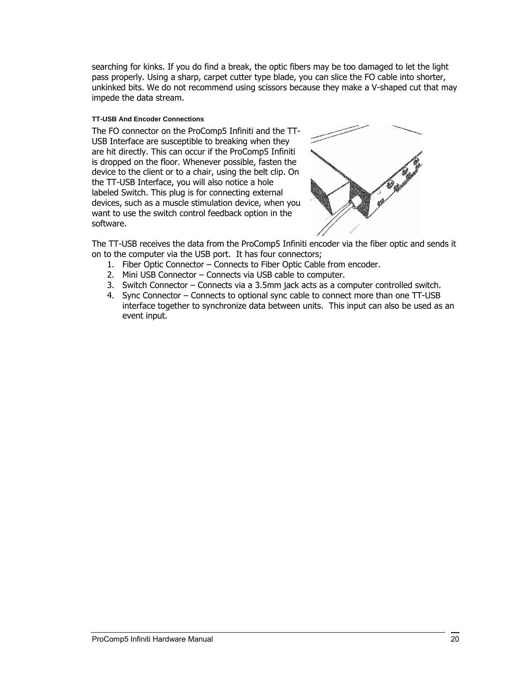searching for kinks. If you do find a break, the optic fibers may be too damaged to let the light pass properly. Using a sharp, carpet cutter type blade, you can slice the FO cable into shorter, unkinked bits. We do not recommend using scissors because they make a V-shaped cut that may impede the data stream.

#### **TT-USB And Encoder Connections**

The FO connector on the ProComp5 Infiniti and the TT-USB Interface are susceptible to breaking when they are hit directly. This can occur if the ProComp5 Infiniti is dropped on the floor. Whenever possible, fasten the device to the client or to a chair, using the belt clip. On the TT-USB Interface, you will also notice a hole labeled Switch. This plug is for connecting external devices, such as a muscle stimulation device, when you want to use the switch control feedback option in the software.



The TT-USB receives the data from the ProComp5 Infiniti encoder via the fiber optic and sends it on to the computer via the USB port. It has four connectors;

- 1. Fiber Optic Connector Connects to Fiber Optic Cable from encoder.
- 2. Mini USB Connector Connects via USB cable to computer.
- 3. Switch Connector Connects via a 3.5mm jack acts as a computer controlled switch.
- 4. Sync Connector Connects to optional sync cable to connect more than one TT-USB interface together to synchronize data between units. This input can also be used as an event input.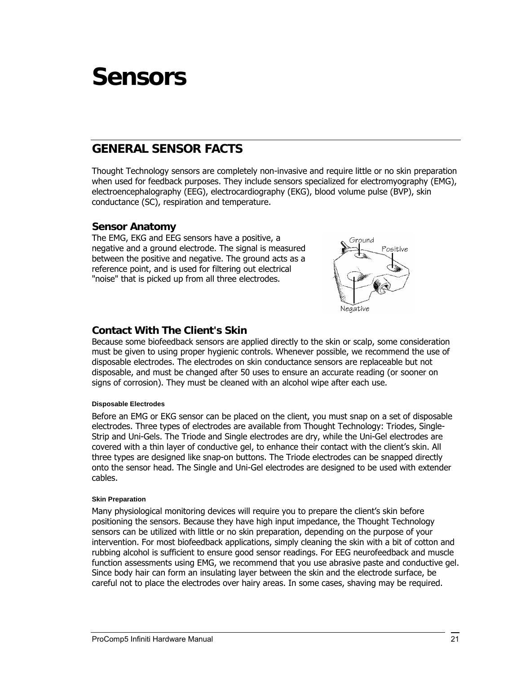# <span id="page-20-0"></span>**Sensors**

# **GENERAL SENSOR FACTS**

Thought Technology sensors are completely non-invasive and require little or no skin preparation when used for feedback purposes. They include sensors specialized for electromyography (EMG), electroencephalography (EEG), electrocardiography (EKG), blood volume pulse (BVP), skin conductance (SC), respiration and temperature.

### **Sensor Anatomy**

The EMG, EKG and EEG sensors have a positive, a negative and a ground electrode. The signal is measured between the positive and negative. The ground acts as a reference point, and is used for filtering out electrical "noise" that is picked up from all three electrodes.



## **Contact With The Client's Skin**

Because some biofeedback sensors are applied directly to the skin or scalp, some consideration must be given to using proper hygienic controls. Whenever possible, we recommend the use of disposable electrodes. The electrodes on skin conductance sensors are replaceable but not disposable, and must be changed after 50 uses to ensure an accurate reading (or sooner on signs of corrosion). They must be cleaned with an alcohol wipe after each use.

#### **Disposable Electrodes**

Before an EMG or EKG sensor can be placed on the client, you must snap on a set of disposable electrodes. Three types of electrodes are available from Thought Technology: Triodes, Single-Strip and Uni-Gels. The Triode and Single electrodes are dry, while the Uni-Gel electrodes are covered with a thin layer of conductive gel, to enhance their contact with the client's skin. All three types are designed like snap-on buttons. The Triode electrodes can be snapped directly onto the sensor head. The Single and Uni-Gel electrodes are designed to be used with extender cables.

#### **Skin Preparation**

Many physiological monitoring devices will require you to prepare the client's skin before positioning the sensors. Because they have high input impedance, the Thought Technology sensors can be utilized with little or no skin preparation, depending on the purpose of your intervention. For most biofeedback applications, simply cleaning the skin with a bit of cotton and rubbing alcohol is sufficient to ensure good sensor readings. For EEG neurofeedback and muscle function assessments using EMG, we recommend that you use abrasive paste and conductive gel. Since body hair can form an insulating layer between the skin and the electrode surface, be careful not to place the electrodes over hairy areas. In some cases, shaving may be required.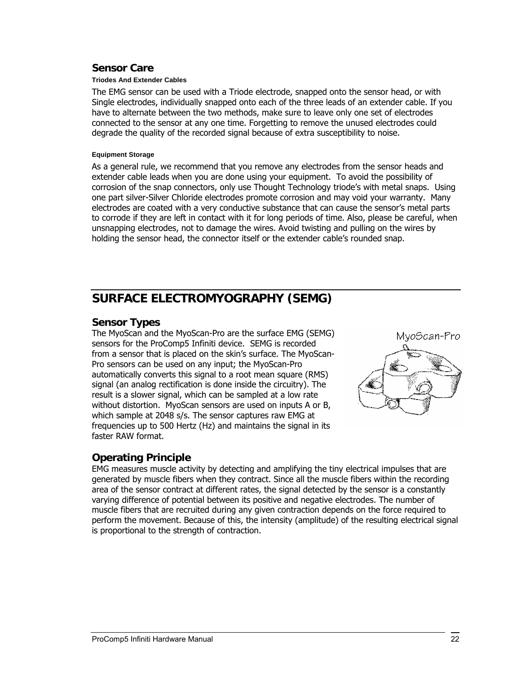#### <span id="page-21-0"></span>**Sensor Care**

#### **Triodes And Extender Cables**

The EMG sensor can be used with a Triode electrode, snapped onto the sensor head, or with Single electrodes, individually snapped onto each of the three leads of an extender cable. If you have to alternate between the two methods, make sure to leave only one set of electrodes connected to the sensor at any one time. Forgetting to remove the unused electrodes could degrade the quality of the recorded signal because of extra susceptibility to noise.

#### **Equipment Storage**

As a general rule, we recommend that you remove any electrodes from the sensor heads and extender cable leads when you are done using your equipment. To avoid the possibility of corrosion of the snap connectors, only use Thought Technology triode's with metal snaps. Using one part silver-Silver Chloride electrodes promote corrosion and may void your warranty. Many electrodes are coated with a very conductive substance that can cause the sensor's metal parts to corrode if they are left in contact with it for long periods of time. Also, please be careful, when unsnapping electrodes, not to damage the wires. Avoid twisting and pulling on the wires by holding the sensor head, the connector itself or the extender cable's rounded snap.

# **SURFACE ELECTROMYOGRAPHY (SEMG)**

### **Sensor Types**

The MyoScan and the MyoScan-Pro are the surface EMG (SEMG) sensors for the ProComp5 Infiniti device. SEMG is recorded from a sensor that is placed on the skin's surface. The MyoScan-Pro sensors can be used on any input; the MyoScan-Pro automatically converts this signal to a root mean square (RMS) signal (an analog rectification is done inside the circuitry). The result is a slower signal, which can be sampled at a low rate without distortion. MyoScan sensors are used on inputs A or B, which sample at 2048 s/s. The sensor captures raw EMG at frequencies up to 500 Hertz (Hz) and maintains the signal in its faster RAW format.



## **Operating Principle**

EMG measures muscle activity by detecting and amplifying the tiny electrical impulses that are generated by muscle fibers when they contract. Since all the muscle fibers within the recording area of the sensor contract at different rates, the signal detected by the sensor is a constantly varying difference of potential between its positive and negative electrodes. The number of muscle fibers that are recruited during any given contraction depends on the force required to perform the movement. Because of this, the intensity (amplitude) of the resulting electrical signal is proportional to the strength of contraction.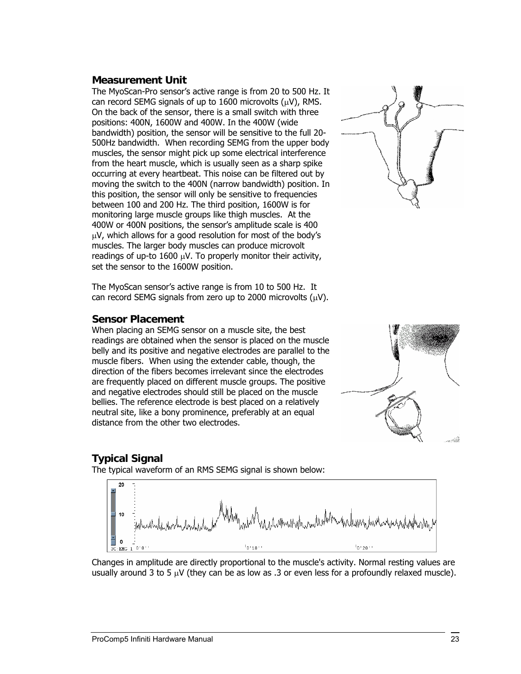### <span id="page-22-0"></span>**Measurement Unit**

The MyoScan-Pro sensor's active range is from 20 to 500 Hz. It can record SEMG signals of up to 1600 microvolts  $(\mu V)$ , RMS. On the back of the sensor, there is a small switch with three positions: 400N, 1600W and 400W. In the 400W (wide bandwidth) position, the sensor will be sensitive to the full 20- 500Hz bandwidth. When recording SEMG from the upper body muscles, the sensor might pick up some electrical interference from the heart muscle, which is usually seen as a sharp spike occurring at every heartbeat. This noise can be filtered out by moving the switch to the 400N (narrow bandwidth) position. In this position, the sensor will only be sensitive to frequencies between 100 and 200 Hz. The third position, 1600W is for monitoring large muscle groups like thigh muscles. At the 400W or 400N positions, the sensor's amplitude scale is 400 μV, which allows for a good resolution for most of the body's muscles. The larger body muscles can produce microvolt readings of up-to  $1600 \mu V$ . To properly monitor their activity, set the sensor to the 1600W position.

The MyoScan sensor's active range is from 10 to 500 Hz. It can record SEMG signals from zero up to 2000 microvolts  $(\mu V)$ .

### **Sensor Placement**

When placing an SEMG sensor on a muscle site, the best readings are obtained when the sensor is placed on the muscle belly and its positive and negative electrodes are parallel to the muscle fibers. When using the extender cable, though, the direction of the fibers becomes irrelevant since the electrodes are frequently placed on different muscle groups. The positive and negative electrodes should still be placed on the muscle bellies. The reference electrode is best placed on a relatively neutral site, like a bony prominence, preferably at an equal distance from the other two electrodes.

## **Typical Signal**

The typical waveform of an RMS SEMG signal is shown below:



Changes in amplitude are directly proportional to the muscle's activity. Normal resting values are usually around 3 to 5  $\mu$ V (they can be as low as .3 or even less for a profoundly relaxed muscle).



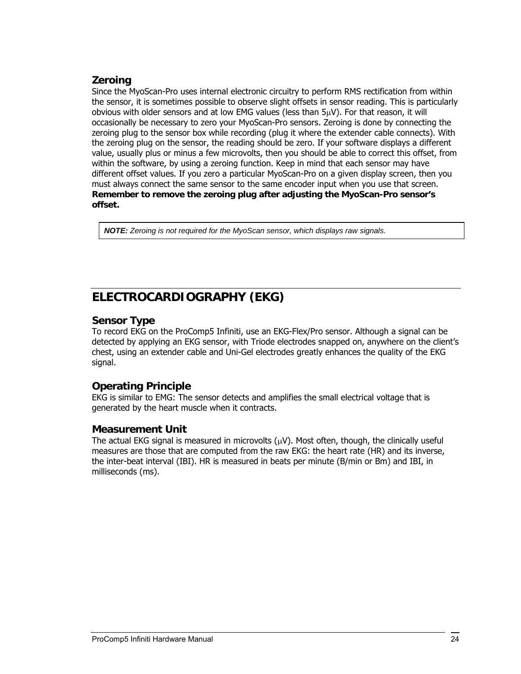## <span id="page-23-0"></span>**Zeroing**

Since the MyoScan-Pro uses internal electronic circuitry to perform RMS rectification from within the sensor, it is sometimes possible to observe slight offsets in sensor reading. This is particularly obvious with older sensors and at low EMG values (less than 5μV). For that reason, it will occasionally be necessary to zero your MyoScan-Pro sensors. Zeroing is done by connecting the zeroing plug to the sensor box while recording (plug it where the extender cable connects). With the zeroing plug on the sensor, the reading should be zero. If your software displays a different value, usually plus or minus a few microvolts, then you should be able to correct this offset, from within the software, by using a zeroing function. Keep in mind that each sensor may have different offset values. If you zero a particular MyoScan-Pro on a given display screen, then you must always connect the same sensor to the same encoder input when you use that screen. **Remember to remove the zeroing plug after adjusting the MyoScan-Pro sensor's offset.** 

*NOTE: Zeroing is not required for the MyoScan sensor, which displays raw signals.* 

# **ELECTROCARDIOGRAPHY (EKG)**

## **Sensor Type**

To record EKG on the ProComp5 Infiniti, use an EKG-Flex/Pro sensor. Although a signal can be detected by applying an EKG sensor, with Triode electrodes snapped on, anywhere on the client's chest, using an extender cable and Uni-Gel electrodes greatly enhances the quality of the EKG signal.

## **Operating Principle**

EKG is similar to EMG: The sensor detects and amplifies the small electrical voltage that is generated by the heart muscle when it contracts.

### **Measurement Unit**

The actual EKG signal is measured in microvolts  $(\mu V)$ . Most often, though, the clinically useful measures are those that are computed from the raw EKG: the heart rate (HR) and its inverse, the inter-beat interval (IBI). HR is measured in beats per minute (B/min or Bm) and IBI, in milliseconds (ms).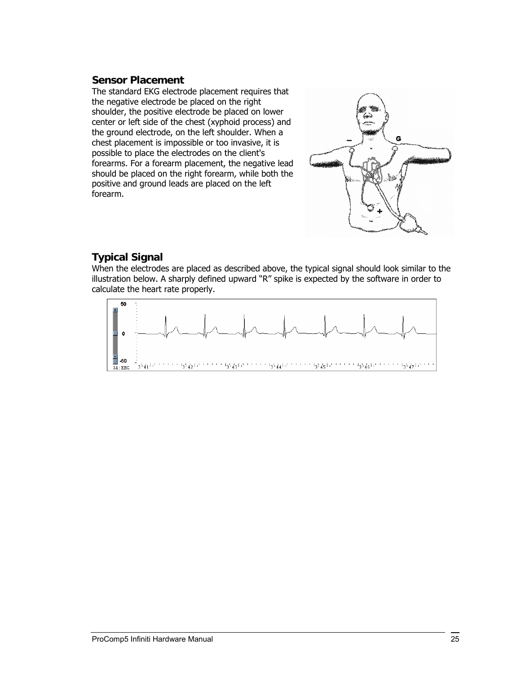### <span id="page-24-0"></span>**Sensor Placement**

The standard EKG electrode placement requires that the negative electrode be placed on the right shoulder, the positive electrode be placed on lower center or left side of the chest (xyphoid process) and the ground electrode, on the left shoulder. When a chest placement is impossible or too invasive, it is possible to place the electrodes on the client's forearms. For a forearm placement, the negative lead should be placed on the right forearm, while both the positive and ground leads are placed on the left forearm.



## **Typical Signal**

When the electrodes are placed as described above, the typical signal should look similar to the illustration below. A sharply defined upward "R" spike is expected by the software in order to calculate the heart rate properly.

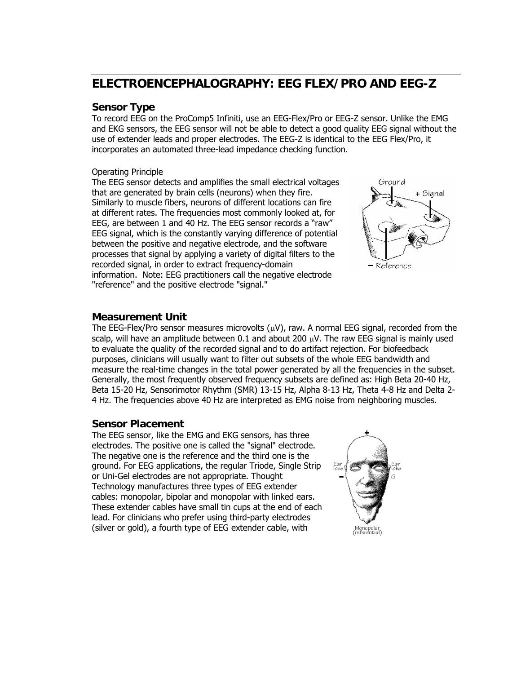## <span id="page-25-0"></span>**ELECTROENCEPHALOGRAPHY: EEG FLEX/PRO AND EEG-Z**

### **Sensor Type**

To record EEG on the ProComp5 Infiniti, use an EEG-Flex/Pro or EEG-Z sensor. Unlike the EMG and EKG sensors, the EEG sensor will not be able to detect a good quality EEG signal without the use of extender leads and proper electrodes. The EEG-Z is identical to the EEG Flex/Pro, it incorporates an automated three-lead impedance checking function.

#### Operating Principle

The EEG sensor detects and amplifies the small electrical voltages that are generated by brain cells (neurons) when they fire. Similarly to muscle fibers, neurons of different locations can fire at different rates. The frequencies most commonly looked at, for EEG, are between 1 and 40 Hz. The EEG sensor records a "raw" EEG signal, which is the constantly varying difference of potential between the positive and negative electrode, and the software processes that signal by applying a variety of digital filters to the recorded signal, in order to extract frequency-domain information. Note: EEG practitioners call the negative electrode "reference" and the positive electrode "signal."



### **Measurement Unit**

The EEG-Flex/Pro sensor measures microvolts  $(\mu V)$ , raw. A normal EEG signal, recorded from the scalp, will have an amplitude between 0.1 and about 200  $\mu$ V. The raw EEG signal is mainly used to evaluate the quality of the recorded signal and to do artifact rejection. For biofeedback purposes, clinicians will usually want to filter out subsets of the whole EEG bandwidth and measure the real-time changes in the total power generated by all the frequencies in the subset. Generally, the most frequently observed frequency subsets are defined as: High Beta 20-40 Hz, Beta 15-20 Hz, Sensorimotor Rhythm (SMR) 13-15 Hz, Alpha 8-13 Hz, Theta 4-8 Hz and Delta 2- 4 Hz. The frequencies above 40 Hz are interpreted as EMG noise from neighboring muscles.

#### **Sensor Placement**

The EEG sensor, like the EMG and EKG sensors, has three electrodes. The positive one is called the "signal" electrode. The negative one is the reference and the third one is the ground. For EEG applications, the regular Triode, Single Strip or Uni-Gel electrodes are not appropriate. Thought Technology manufactures three types of EEG extender cables: monopolar, bipolar and monopolar with linked ears. These extender cables have small tin cups at the end of each lead. For clinicians who prefer using third-party electrodes (silver or gold), a fourth type of EEG extender cable, with

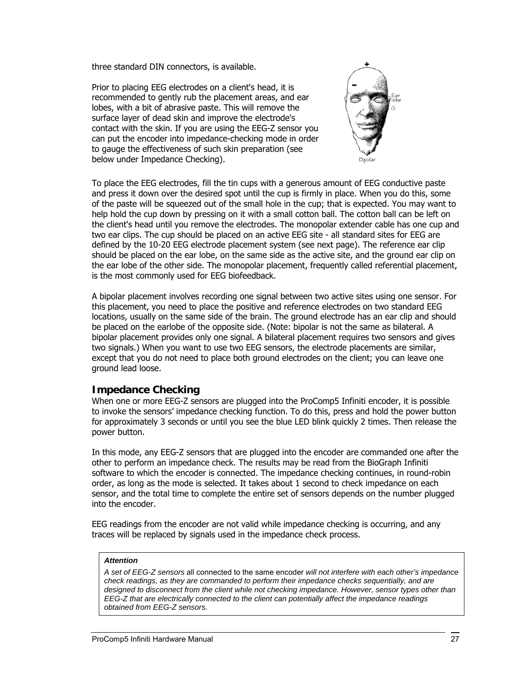<span id="page-26-0"></span>three standard DIN connectors, is available.

Prior to placing EEG electrodes on a client's head, it is recommended to gently rub the placement areas, and ear lobes, with a bit of abrasive paste. This will remove the surface layer of dead skin and improve the electrode's contact with the skin. If you are using the EEG-Z sensor you can put the encoder into impedance-checking mode in order to gauge the effectiveness of such skin preparation (see below under Impedance Checking).



To place the EEG electrodes, fill the tin cups with a generous amount of EEG conductive paste and press it down over the desired spot until the cup is firmly in place. When you do this, some of the paste will be squeezed out of the small hole in the cup; that is expected. You may want to help hold the cup down by pressing on it with a small cotton ball. The cotton ball can be left on the client's head until you remove the electrodes. The monopolar extender cable has one cup and two ear clips. The cup should be placed on an active EEG site - all standard sites for EEG are defined by the 10-20 EEG electrode placement system (see next page). The reference ear clip should be placed on the ear lobe, on the same side as the active site, and the ground ear clip on the ear lobe of the other side. The monopolar placement, frequently called referential placement, is the most commonly used for EEG biofeedback.

A bipolar placement involves recording one signal between two active sites using one sensor. For this placement, you need to place the positive and reference electrodes on two standard EEG locations, usually on the same side of the brain. The ground electrode has an ear clip and should be placed on the earlobe of the opposite side. (Note: bipolar is not the same as bilateral. A bipolar placement provides only one signal. A bilateral placement requires two sensors and gives two signals.) When you want to use two EEG sensors, the electrode placements are similar, except that you do not need to place both ground electrodes on the client; you can leave one ground lead loose.

### **Impedance Checking**

When one or more EEG-Z sensors are plugged into the ProComp5 Infiniti encoder, it is possible to invoke the sensors' impedance checking function. To do this, press and hold the power button for approximately 3 seconds or until you see the blue LED blink quickly 2 times. Then release the power button.

In this mode, any EEG-Z sensors that are plugged into the encoder are commanded one after the other to perform an impedance check. The results may be read from the BioGraph Infiniti software to which the encoder is connected. The impedance checking continues, in round-robin order, as long as the mode is selected. It takes about 1 second to check impedance on each sensor, and the total time to complete the entire set of sensors depends on the number plugged into the encoder.

EEG readings from the encoder are not valid while impedance checking is occurring, and any traces will be replaced by signals used in the impedance check process.

#### *Attention*

*A set of EEG-Z sensors* all connected to the same encoder *will not interfere with each other's impedance check readings, as they are commanded to perform their impedance checks sequentially, and are designed to disconnect from the client while not checking impedance. However, sensor types other than EEG-Z that are electrically connected to the client can potentially affect the impedance readings obtained from EEG-Z sensors.*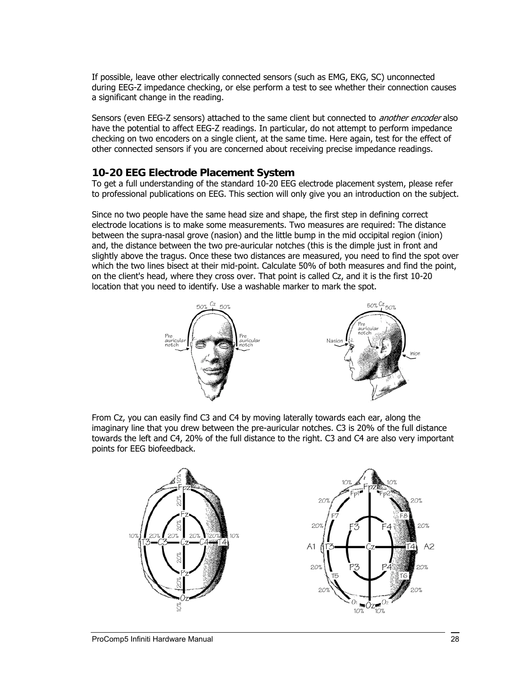<span id="page-27-0"></span>If possible, leave other electrically connected sensors (such as EMG, EKG, SC) unconnected during EEG-Z impedance checking, or else perform a test to see whether their connection causes a significant change in the reading.

Sensors (even EEG-Z sensors) attached to the same client but connected to *another encoder* also have the potential to affect EEG-Z readings. In particular, do not attempt to perform impedance checking on two encoders on a single client, at the same time. Here again, test for the effect of other connected sensors if you are concerned about receiving precise impedance readings.

### **10-20 EEG Electrode Placement System**

To get a full understanding of the standard 10-20 EEG electrode placement system, please refer to professional publications on EEG. This section will only give you an introduction on the subject.

Since no two people have the same head size and shape, the first step in defining correct electrode locations is to make some measurements. Two measures are required: The distance between the supra-nasal grove (nasion) and the little bump in the mid occipital region (inion) and, the distance between the two pre-auricular notches (this is the dimple just in front and slightly above the tragus. Once these two distances are measured, you need to find the spot over which the two lines bisect at their mid-point. Calculate 50% of both measures and find the point, on the client's head, where they cross over. That point is called Cz, and it is the first 10-20 location that you need to identify. Use a washable marker to mark the spot.



From Cz, you can easily find C3 and C4 by moving laterally towards each ear, along the imaginary line that you drew between the pre-auricular notches. C3 is 20% of the full distance towards the left and C4, 20% of the full distance to the right. C3 and C4 are also very important points for EEG biofeedback.

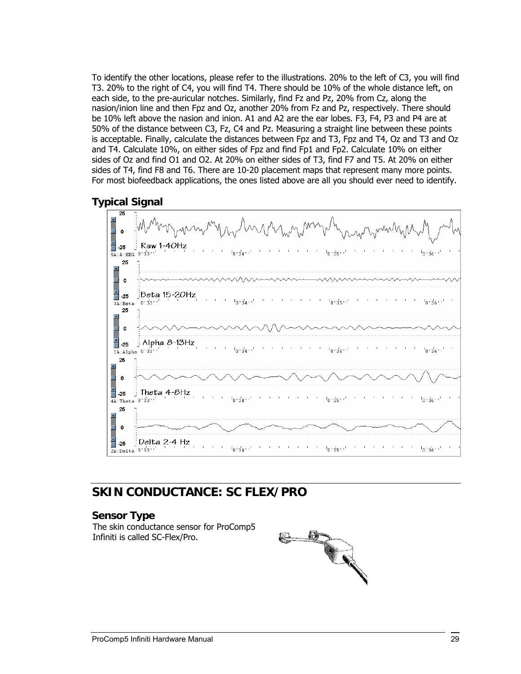<span id="page-28-0"></span>To identify the other locations, please refer to the illustrations. 20% to the left of C3, you will find T3. 20% to the right of C4, you will find T4. There should be 10% of the whole distance left, on each side, to the pre-auricular notches. Similarly, find Fz and Pz, 20% from Cz, along the nasion/inion line and then Fpz and Oz, another 20% from Fz and Pz, respectively. There should be 10% left above the nasion and inion. A1 and A2 are the ear lobes. F3, F4, P3 and P4 are at 50% of the distance between C3, Fz, C4 and Pz. Measuring a straight line between these points is acceptable. Finally, calculate the distances between Fpz and T3, Fpz and T4, Oz and T3 and Oz and T4. Calculate 10%, on either sides of Fpz and find Fp1 and Fp2. Calculate 10% on either sides of Oz and find O1 and O2. At 20% on either sides of T3, find F7 and T5. At 20% on either sides of T4, find F8 and T6. There are 10-20 placement maps that represent many more points. For most biofeedback applications, the ones listed above are all you should ever need to identify.

## **Typical Signal**



# **SKIN CONDUCTANCE: SC FLEX/PRO**

### **Sensor Type**

The skin conductance sensor for ProComp5 Infiniti is called SC-Flex/Pro.

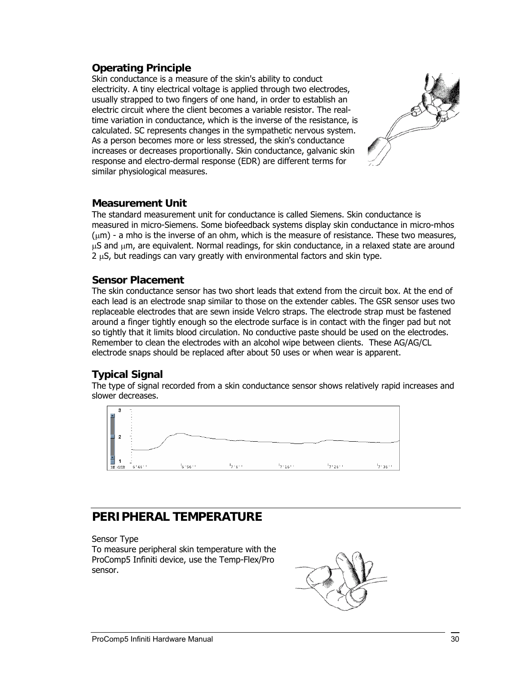## <span id="page-29-0"></span>**Operating Principle**

Skin conductance is a measure of the skin's ability to conduct electricity. A tiny electrical voltage is applied through two electrodes, usually strapped to two fingers of one hand, in order to establish an electric circuit where the client becomes a variable resistor. The realtime variation in conductance, which is the inverse of the resistance, is calculated. SC represents changes in the sympathetic nervous system. As a person becomes more or less stressed, the skin's conductance increases or decreases proportionally. Skin conductance, galvanic skin response and electro-dermal response (EDR) are different terms for similar physiological measures.



### **Measurement Unit**

The standard measurement unit for conductance is called Siemens. Skin conductance is measured in micro-Siemens. Some biofeedback systems display skin conductance in micro-mhos (μm) - a mho is the inverse of an ohm, which is the measure of resistance. These two measures,  $\mu$ S and  $\mu$ m, are equivalent. Normal readings, for skin conductance, in a relaxed state are around 2 μS, but readings can vary greatly with environmental factors and skin type.

## **Sensor Placement**

The skin conductance sensor has two short leads that extend from the circuit box. At the end of each lead is an electrode snap similar to those on the extender cables. The GSR sensor uses two replaceable electrodes that are sewn inside Velcro straps. The electrode strap must be fastened around a finger tightly enough so the electrode surface is in contact with the finger pad but not so tightly that it limits blood circulation. No conductive paste should be used on the electrodes. Remember to clean the electrodes with an alcohol wipe between clients. These AG/AG/CL electrode snaps should be replaced after about 50 uses or when wear is apparent.

## **Typical Signal**

The type of signal recorded from a skin conductance sensor shows relatively rapid increases and slower decreases.



# **PERIPHERAL TEMPERATURE**

Sensor Type

To measure peripheral skin temperature with the ProComp5 Infiniti device, use the Temp-Flex/Pro sensor.

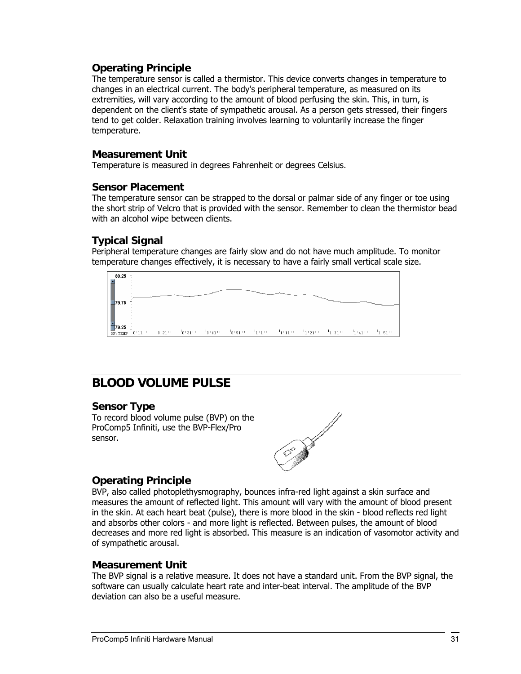## <span id="page-30-0"></span>**Operating Principle**

The temperature sensor is called a thermistor. This device converts changes in temperature to changes in an electrical current. The body's peripheral temperature, as measured on its extremities, will vary according to the amount of blood perfusing the skin. This, in turn, is dependent on the client's state of sympathetic arousal. As a person gets stressed, their fingers tend to get colder. Relaxation training involves learning to voluntarily increase the finger temperature.

### **Measurement Unit**

Temperature is measured in degrees Fahrenheit or degrees Celsius.

### **Sensor Placement**

The temperature sensor can be strapped to the dorsal or palmar side of any finger or toe using the short strip of Velcro that is provided with the sensor. Remember to clean the thermistor bead with an alcohol wipe between clients.

## **Typical Signal**

Peripheral temperature changes are fairly slow and do not have much amplitude. To monitor temperature changes effectively, it is necessary to have a fairly small vertical scale size.



# **BLOOD VOLUME PULSE**

### **Sensor Type**

To record blood volume pulse (BVP) on the ProComp5 Infiniti, use the BVP-Flex/Pro sensor.



## **Operating Principle**

BVP, also called photoplethysmography, bounces infra-red light against a skin surface and measures the amount of reflected light. This amount will vary with the amount of blood present in the skin. At each heart beat (pulse), there is more blood in the skin - blood reflects red light and absorbs other colors - and more light is reflected. Between pulses, the amount of blood decreases and more red light is absorbed. This measure is an indication of vasomotor activity and of sympathetic arousal.

### **Measurement Unit**

The BVP signal is a relative measure. It does not have a standard unit. From the BVP signal, the software can usually calculate heart rate and inter-beat interval. The amplitude of the BVP deviation can also be a useful measure.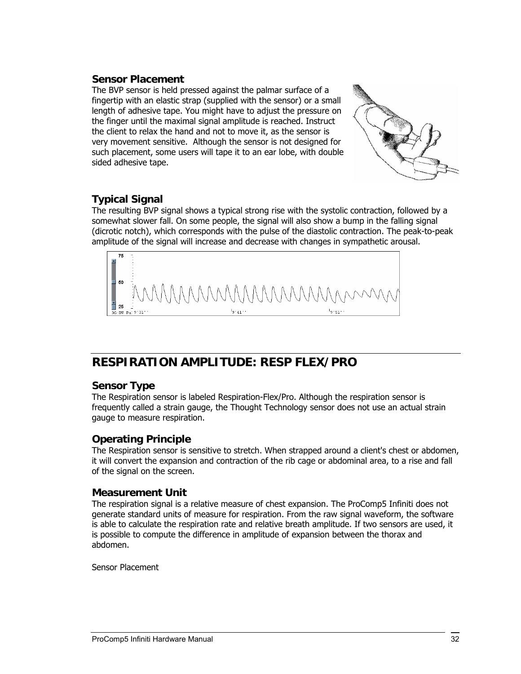### <span id="page-31-0"></span>**Sensor Placement**

The BVP sensor is held pressed against the palmar surface of a fingertip with an elastic strap (supplied with the sensor) or a small length of adhesive tape. You might have to adjust the pressure on the finger until the maximal signal amplitude is reached. Instruct the client to relax the hand and not to move it, as the sensor is very movement sensitive. Although the sensor is not designed for such placement, some users will tape it to an ear lobe, with double sided adhesive tape.



## **Typical Signal**

The resulting BVP signal shows a typical strong rise with the systolic contraction, followed by a somewhat slower fall. On some people, the signal will also show a bump in the falling signal (dicrotic notch), which corresponds with the pulse of the diastolic contraction. The peak-to-peak amplitude of the signal will increase and decrease with changes in sympathetic arousal.



# **RESPIRATION AMPLITUDE: RESP FLEX/PRO**

### **Sensor Type**

The Respiration sensor is labeled Respiration-Flex/Pro. Although the respiration sensor is frequently called a strain gauge, the Thought Technology sensor does not use an actual strain gauge to measure respiration.

## **Operating Principle**

The Respiration sensor is sensitive to stretch. When strapped around a client's chest or abdomen, it will convert the expansion and contraction of the rib cage or abdominal area, to a rise and fall of the signal on the screen.

### **Measurement Unit**

The respiration signal is a relative measure of chest expansion. The ProComp5 Infiniti does not generate standard units of measure for respiration. From the raw signal waveform, the software is able to calculate the respiration rate and relative breath amplitude. If two sensors are used, it is possible to compute the difference in amplitude of expansion between the thorax and abdomen.

Sensor Placement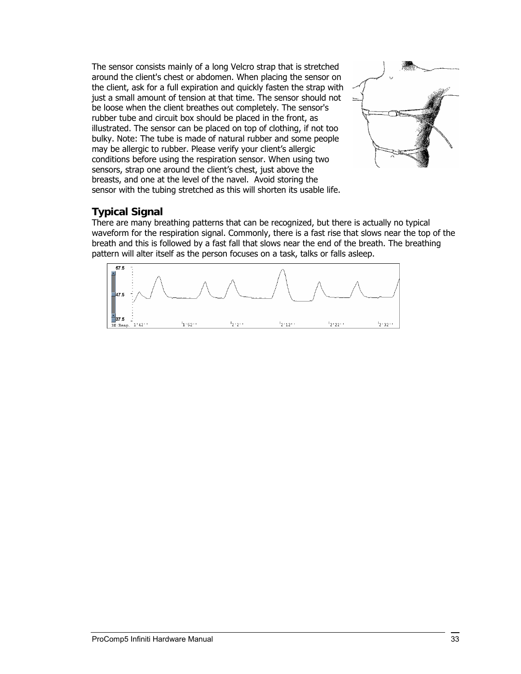<span id="page-32-0"></span>The sensor consists mainly of a long Velcro strap that is stretched around the client's chest or abdomen. When placing the sensor on the client, ask for a full expiration and quickly fasten the strap with just a small amount of tension at that time. The sensor should not be loose when the client breathes out completely. The sensor's rubber tube and circuit box should be placed in the front, as illustrated. The sensor can be placed on top of clothing, if not too bulky. Note: The tube is made of natural rubber and some people may be allergic to rubber. Please verify your client's allergic conditions before using the respiration sensor. When using two sensors, strap one around the client's chest, just above the breasts, and one at the level of the navel. Avoid storing the sensor with the tubing stretched as this will shorten its usable life.



### **Typical Signal**

There are many breathing patterns that can be recognized, but there is actually no typical waveform for the respiration signal. Commonly, there is a fast rise that slows near the top of the breath and this is followed by a fast fall that slows near the end of the breath. The breathing pattern will alter itself as the person focuses on a task, talks or falls asleep.

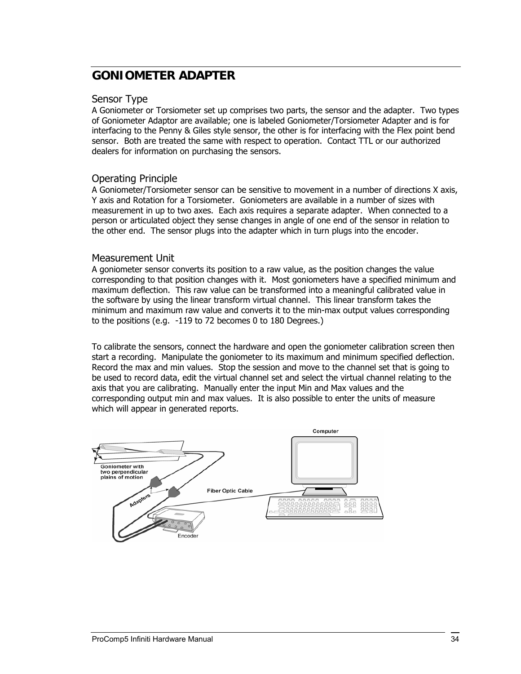## <span id="page-33-0"></span>**GONIOMETER ADAPTER**

#### Sensor Type

A Goniometer or Torsiometer set up comprises two parts, the sensor and the adapter. Two types of Goniometer Adaptor are available; one is labeled Goniometer/Torsiometer Adapter and is for interfacing to the Penny & Giles style sensor, the other is for interfacing with the Flex point bend sensor. Both are treated the same with respect to operation. Contact TTL or our authorized dealers for information on purchasing the sensors.

### Operating Principle

A Goniometer/Torsiometer sensor can be sensitive to movement in a number of directions X axis, Y axis and Rotation for a Torsiometer. Goniometers are available in a number of sizes with measurement in up to two axes. Each axis requires a separate adapter. When connected to a person or articulated object they sense changes in angle of one end of the sensor in relation to the other end. The sensor plugs into the adapter which in turn plugs into the encoder.

#### Measurement Unit

A goniometer sensor converts its position to a raw value, as the position changes the value corresponding to that position changes with it. Most goniometers have a specified minimum and maximum deflection. This raw value can be transformed into a meaningful calibrated value in the software by using the linear transform virtual channel. This linear transform takes the minimum and maximum raw value and converts it to the min-max output values corresponding to the positions (e.g. -119 to 72 becomes 0 to 180 Degrees.)

To calibrate the sensors, connect the hardware and open the goniometer calibration screen then start a recording. Manipulate the goniometer to its maximum and minimum specified deflection. Record the max and min values. Stop the session and move to the channel set that is going to be used to record data, edit the virtual channel set and select the virtual channel relating to the axis that you are calibrating. Manually enter the input Min and Max values and the corresponding output min and max values. It is also possible to enter the units of measure which will appear in generated reports.

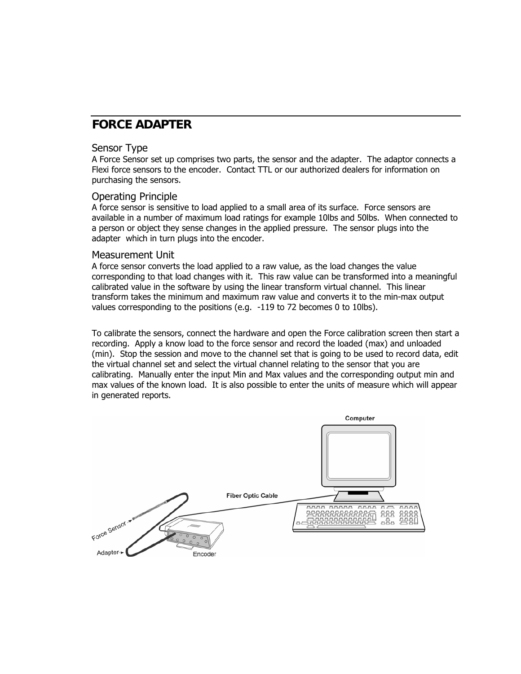# <span id="page-34-0"></span>**FORCE ADAPTER**

#### Sensor Type

A Force Sensor set up comprises two parts, the sensor and the adapter. The adaptor connects a Flexi force sensors to the encoder. Contact TTL or our authorized dealers for information on purchasing the sensors.

#### Operating Principle

A force sensor is sensitive to load applied to a small area of its surface. Force sensors are available in a number of maximum load ratings for example 10lbs and 50lbs. When connected to a person or object they sense changes in the applied pressure. The sensor plugs into the adapter which in turn plugs into the encoder.

#### Measurement Unit

A force sensor converts the load applied to a raw value, as the load changes the value corresponding to that load changes with it. This raw value can be transformed into a meaningful calibrated value in the software by using the linear transform virtual channel. This linear transform takes the minimum and maximum raw value and converts it to the min-max output values corresponding to the positions (e.g. -119 to 72 becomes 0 to 10lbs).

To calibrate the sensors, connect the hardware and open the Force calibration screen then start a recording. Apply a know load to the force sensor and record the loaded (max) and unloaded (min). Stop the session and move to the channel set that is going to be used to record data, edit the virtual channel set and select the virtual channel relating to the sensor that you are calibrating. Manually enter the input Min and Max values and the corresponding output min and max values of the known load. It is also possible to enter the units of measure which will appear in generated reports.

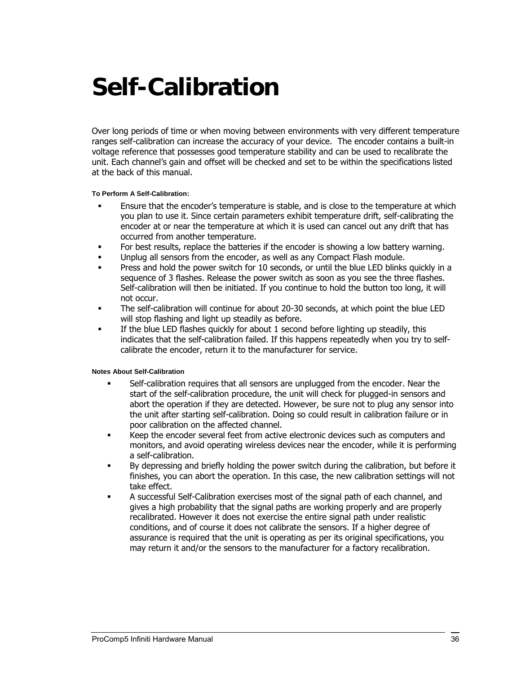# <span id="page-35-0"></span>**Self-Calibration**

Over long periods of time or when moving between environments with very different temperature ranges self-calibration can increase the accuracy of your device. The encoder contains a built-in voltage reference that possesses good temperature stability and can be used to recalibrate the unit. Each channel's gain and offset will be checked and set to be within the specifications listed at the back of this manual.

#### **To Perform A Self-Calibration:**

- Ensure that the encoder's temperature is stable, and is close to the temperature at which you plan to use it. Since certain parameters exhibit temperature drift, self-calibrating the encoder at or near the temperature at which it is used can cancel out any drift that has occurred from another temperature.
- For best results, replace the batteries if the encoder is showing a low battery warning.
- Unplug all sensors from the encoder, as well as any Compact Flash module.
- Press and hold the power switch for 10 seconds, or until the blue LED blinks quickly in a sequence of 3 flashes. Release the power switch as soon as you see the three flashes. Self-calibration will then be initiated. If you continue to hold the button too long, it will not occur.
- The self-calibration will continue for about 20-30 seconds, at which point the blue LED will stop flashing and light up steadily as before.
- If the blue LED flashes quickly for about 1 second before lighting up steadily, this indicates that the self-calibration failed. If this happens repeatedly when you try to selfcalibrate the encoder, return it to the manufacturer for service.

#### **Notes About Self-Calibration**

- Self-calibration requires that all sensors are unplugged from the encoder. Near the start of the self-calibration procedure, the unit will check for plugged-in sensors and abort the operation if they are detected. However, be sure not to plug any sensor into the unit after starting self-calibration. Doing so could result in calibration failure or in poor calibration on the affected channel.
- Keep the encoder several feet from active electronic devices such as computers and monitors, and avoid operating wireless devices near the encoder, while it is performing a self-calibration.
- By depressing and briefly holding the power switch during the calibration, but before it finishes, you can abort the operation. In this case, the new calibration settings will not take effect.
- A successful Self-Calibration exercises most of the signal path of each channel, and gives a high probability that the signal paths are working properly and are properly recalibrated. However it does not exercise the entire signal path under realistic conditions, and of course it does not calibrate the sensors. If a higher degree of assurance is required that the unit is operating as per its original specifications, you may return it and/or the sensors to the manufacturer for a factory recalibration.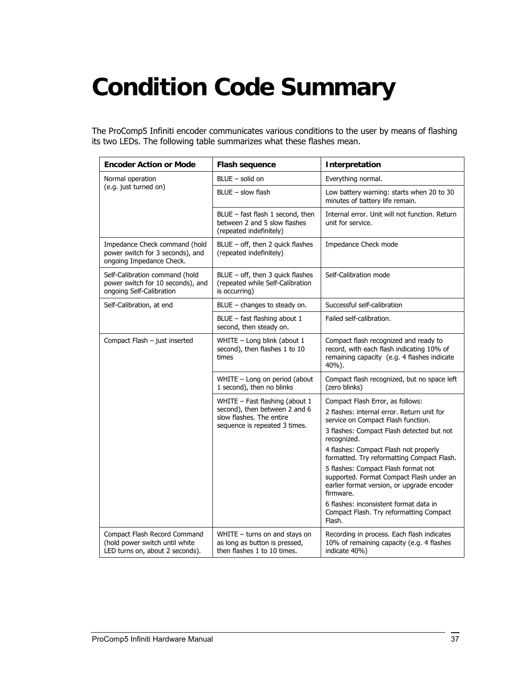# <span id="page-36-0"></span>**Condition Code Summary**

The ProComp5 Infiniti encoder communicates various conditions to the user by means of flashing its two LEDs. The following table summarizes what these flashes mean.

| <b>Encoder Action or Mode</b>                                                                     | <b>Flash sequence</b>                                                                                                        | Interpretation                                                                                                                                                                                                                                                                                                                                                                                                                                                                                                       |
|---------------------------------------------------------------------------------------------------|------------------------------------------------------------------------------------------------------------------------------|----------------------------------------------------------------------------------------------------------------------------------------------------------------------------------------------------------------------------------------------------------------------------------------------------------------------------------------------------------------------------------------------------------------------------------------------------------------------------------------------------------------------|
| Normal operation                                                                                  | BLUE - solid on                                                                                                              | Everything normal.                                                                                                                                                                                                                                                                                                                                                                                                                                                                                                   |
| (e.g. just turned on)                                                                             | BLUE - slow flash                                                                                                            | Low battery warning: starts when 20 to 30<br>minutes of battery life remain.                                                                                                                                                                                                                                                                                                                                                                                                                                         |
|                                                                                                   | BLUE - fast flash 1 second, then<br>between 2 and 5 slow flashes<br>(repeated indefinitely)                                  | Internal error. Unit will not function. Return<br>unit for service.                                                                                                                                                                                                                                                                                                                                                                                                                                                  |
| Impedance Check command (hold<br>power switch for 3 seconds), and<br>ongoing Impedance Check.     | $BLUE - off$ , then 2 quick flashes<br>(repeated indefinitely)                                                               | Impedance Check mode                                                                                                                                                                                                                                                                                                                                                                                                                                                                                                 |
| Self-Calibration command (hold<br>power switch for 10 seconds), and<br>ongoing Self-Calibration   | BLUE $-$ off, then 3 quick flashes<br>(repeated while Self-Calibration<br>is occurring)                                      | Self-Calibration mode                                                                                                                                                                                                                                                                                                                                                                                                                                                                                                |
| Self-Calibration, at end                                                                          | $B LUE - changes to steady on.$                                                                                              | Successful self-calibration                                                                                                                                                                                                                                                                                                                                                                                                                                                                                          |
|                                                                                                   | BLUE - fast flashing about 1<br>second, then steady on.                                                                      | Failed self-calibration.                                                                                                                                                                                                                                                                                                                                                                                                                                                                                             |
| Compact Flash - just inserted                                                                     | WHITE - Long blink (about 1<br>second), then flashes 1 to 10<br>times                                                        | Compact flash recognized and ready to<br>record, with each flash indicating 10% of<br>remaining capacity (e.g. 4 flashes indicate<br>$40\%$ ).                                                                                                                                                                                                                                                                                                                                                                       |
|                                                                                                   | WHITE - Long on period (about<br>1 second), then no blinks                                                                   | Compact flash recognized, but no space left<br>(zero blinks)                                                                                                                                                                                                                                                                                                                                                                                                                                                         |
|                                                                                                   | WHITE - Fast flashing (about 1<br>second), then between 2 and 6<br>slow flashes. The entire<br>sequence is repeated 3 times. | Compact Flash Error, as follows:<br>2 flashes: internal error. Return unit for<br>service on Compact Flash function.<br>3 flashes: Compact Flash detected but not<br>recognized.<br>4 flashes: Compact Flash not properly<br>formatted. Try reformatting Compact Flash.<br>5 flashes: Compact Flash format not<br>supported. Format Compact Flash under an<br>earlier format version, or upgrade encoder<br>firmware.<br>6 flashes: inconsistent format data in<br>Compact Flash. Try reformatting Compact<br>Flash. |
| Compact Flash Record Command<br>(hold power switch until white<br>LED turns on, about 2 seconds). | WHITE - turns on and stays on<br>as long as button is pressed,<br>then flashes 1 to 10 times.                                | Recording in process. Each flash indicates<br>10% of remaining capacity (e.g. 4 flashes<br>indicate 40%)                                                                                                                                                                                                                                                                                                                                                                                                             |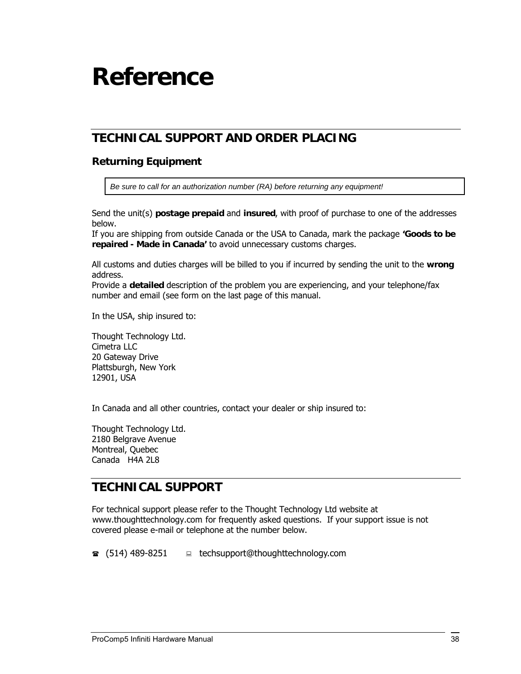# <span id="page-37-0"></span>**Reference**

# **TECHNICAL SUPPORT AND ORDER PLACING**

## **Returning Equipment**

*Be sure to call for an authorization number (RA) before returning any equipment!* 

Send the unit(s) **postage prepaid** and **insured**, with proof of purchase to one of the addresses below.

If you are shipping from outside Canada or the USA to Canada, mark the package **'Goods to be repaired - Made in Canada'** to avoid unnecessary customs charges.

All customs and duties charges will be billed to you if incurred by sending the unit to the **wrong** address.

Provide a **detailed** description of the problem you are experiencing, and your telephone/fax number and email (see form on the last page of this manual.

In the USA, ship insured to:

Thought Technology Ltd. Cimetra LLC 20 Gateway Drive Plattsburgh, New York 12901, USA

In Canada and all other countries, contact your dealer or ship insured to:

Thought Technology Ltd. 2180 Belgrave Avenue Montreal, Quebec Canada H4A 2L8

## **TECHNICAL SUPPORT**

For technical support please refer to the Thought Technology Ltd website at www.thoughttechnology.com for frequently asked questions. If your support issue is not covered please e-mail or telephone at the number below.

 $\circ$  (514) 489-8251  $\qquad \qquad \Box$  techsupport@thoughttechnology.com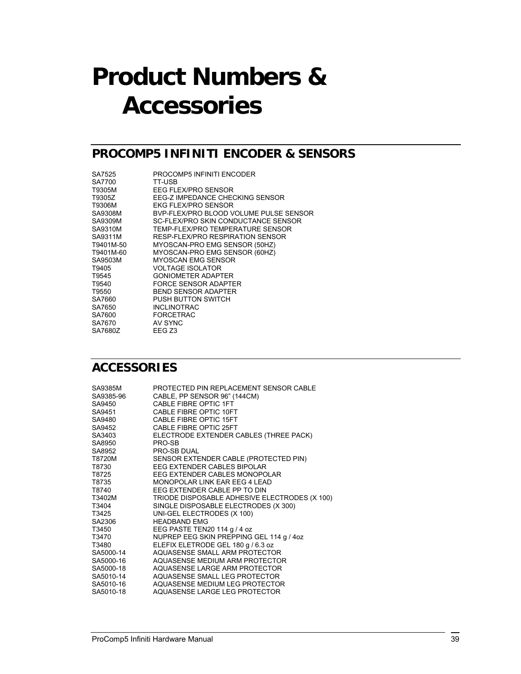# <span id="page-38-0"></span>**Product Numbers & Accessories**

# **PROCOMP5 INFINITI ENCODER & SENSORS**

| SA7525    | PROCOMP5 INFINITI ENCODER              |
|-----------|----------------------------------------|
| SA7700    | TT-USB                                 |
| T9305M    | EEG FLEX/PRO SENSOR                    |
| T9305Z    | EEG-Z IMPEDANCE CHECKING SENSOR        |
| T9306M    | <b>EKG FLEX/PRO SENSOR</b>             |
| SA9308M   | BVP-FLEX/PRO BLOOD VOLUME PULSE SENSOR |
| SA9309M   | SC-FLEX/PRO SKIN CONDUCTANCE SENSOR    |
| SA9310M   | TEMP-FLEX/PRO TEMPERATURE SENSOR       |
| SA9311M   | RESP-FLEX/PRO RESPIRATION SENSOR       |
| T9401M-50 | MYOSCAN-PRO EMG SENSOR (50HZ)          |
| T9401M-60 | MYOSCAN-PRO EMG SENSOR (60HZ)          |
| SA9503M   | <b>MYOSCAN EMG SENSOR</b>              |
| T9405     | <b>VOLTAGE ISOLATOR</b>                |
| T9545     | <b>GONIOMETER ADAPTER</b>              |
| T9540     | <b>FORCE SENSOR ADAPTER</b>            |
| T9550     | <b>BEND SENSOR ADAPTER</b>             |
| SA7660    | PUSH BUTTON SWITCH                     |
| SA7650    | <b>INCLINOTRAC</b>                     |
| SA7600    | <b>FORCETRAC</b>                       |
| SA7670    | AV SYNC                                |
| SA7680Z   | EEG <sub>Z3</sub>                      |

# **ACCESSORIES**

| SA9385M<br>SA9385-96 | PROTECTED PIN REPLACEMENT SENSOR CABLE<br>CABLE, PP SENSOR 96" (144CM) |
|----------------------|------------------------------------------------------------------------|
| SA9450               | <b>CABLE FIBRE OPTIC 1FT</b>                                           |
| SA9451               | CABLE FIBRE OPTIC 10FT                                                 |
| SA9480               | CABLE FIBRE OPTIC 15FT                                                 |
| SA9452               | CABLE FIBRE OPTIC 25FT                                                 |
| SA3403               | ELECTRODE EXTENDER CABLES (THREE PACK)                                 |
| SA8950               | PRO-SB                                                                 |
| SA8952               | <b>PRO-SB DUAL</b>                                                     |
| T8720M               | SENSOR EXTENDER CABLE (PROTECTED PIN)                                  |
| T8730                | EEG EXTENDER CABLES BIPOLAR                                            |
| T8725                | EEG EXTENDER CABLES MONOPOLAR                                          |
| T8735                | MONOPOLAR LINK EAR EEG 4 LEAD                                          |
| T8740                | EEG EXTENDER CABLE PP TO DIN                                           |
| T3402M               | TRIODE DISPOSABLE ADHESIVE ELECTRODES (X 100)                          |
| T3404                | SINGLE DISPOSABLE ELECTRODES (X 300)                                   |
| T3425                | UNI-GEL ELECTRODES (X 100)                                             |
|                      | <b>HEADBAND EMG</b>                                                    |
| SA2306<br>T3450      | EEG PASTE TEN20 114 g / 4 oz                                           |
| T3470                | NUPREP EEG SKIN PREPPING GEL 114 g / 4oz                               |
| T3480                | ELEFIX ELETRODE GEL 180 g / 6.3 oz                                     |
| SA5000-14            | AQUASENSE SMALL ARM PROTECTOR                                          |
| SA5000-16            | AQUASENSE MEDIUM ARM PROTECTOR                                         |
| SA5000-18            | AQUASENSE LARGE ARM PROTECTOR                                          |
| SA5010-14            | AQUASENSE SMALL LEG PROTECTOR                                          |
| SA5010-16            | AQUASENSE MEDIUM LEG PROTECTOR                                         |
| SA5010-18            | AQUASENSE LARGE LEG PROTECTOR                                          |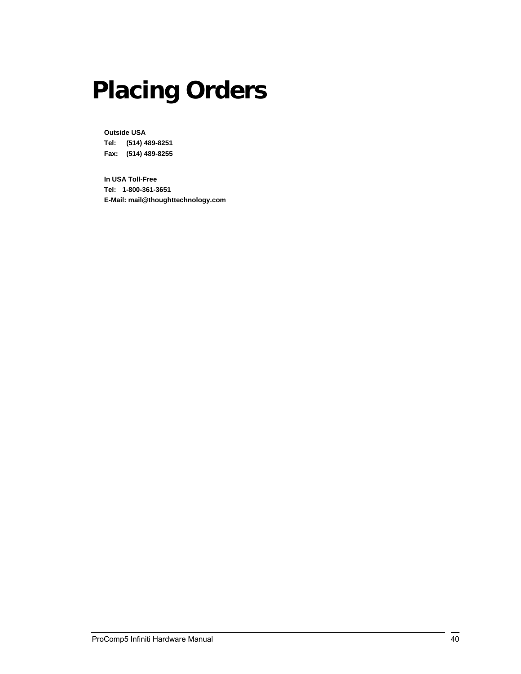# <span id="page-39-0"></span>**Placing Orders**

**Outside USA Tel: (514) 489-8251 Fax: (514) 489-8255** 

**In USA Toll-Free Tel: 1-800-361-3651 E-Mail: mail@thoughttechnology.com**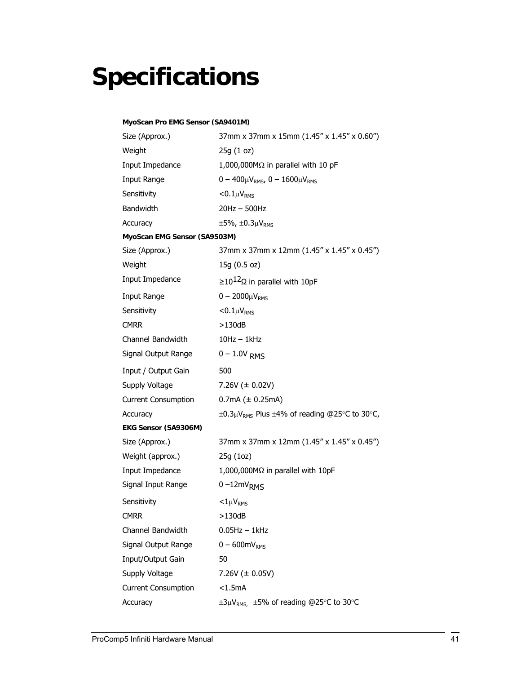# <span id="page-40-0"></span>**Specifications**

#### **MyoScan Pro EMG Sensor (SA9401M)**

| Size (Approx.)               | 37mm x 37mm x 15mm (1.45" x 1.45" x 0.60")                     |
|------------------------------|----------------------------------------------------------------|
| Weight                       | 25g(1 oz)                                                      |
| Input Impedance              | 1,000,000M $\Omega$ in parallel with 10 pF                     |
| Input Range                  | $0 - 400 \mu V_{RMS}$ , $0 - 1600 \mu V_{RMS}$                 |
| Sensitivity                  | $< 0.1 \mu V_{RMS}$                                            |
| <b>Bandwidth</b>             | $20Hz - 500Hz$                                                 |
| Accuracy                     | $\pm 5\%$ , $\pm 0.3\mu V_{RMS}$                               |
| MyoScan EMG Sensor (SA9503M) |                                                                |
| Size (Approx.)               | 37mm x 37mm x 12mm (1.45" x 1.45" x 0.45")                     |
| Weight                       | 15g (0.5 oz)                                                   |
| Input Impedance              | $\geq$ 10 <sup>12</sup> Ω in parallel with 10pF                |
| Input Range                  | $0 - 2000 \mu V_{RMS}$                                         |
| Sensitivity                  | $< 0.1 \mu V_{RMS}$                                            |
| <b>CMRR</b>                  | >130dB                                                         |
| Channel Bandwidth            | $10Hz - 1kHz$                                                  |
| Signal Output Range          | $0 - 1.0V$ RMS                                                 |
| Input / Output Gain          | 500                                                            |
| Supply Voltage               | 7.26V $(\pm 0.02V)$                                            |
| <b>Current Consumption</b>   | 0.7mA $(\pm 0.25m)$                                            |
| Accuracy                     | $\pm 0.3 \mu V_{RMS}$ Plus $\pm 4\%$ of reading @25°C to 30°C, |
| EKG Sensor (SA9306M)         |                                                                |
| Size (Approx.)               | 37mm x 37mm x 12mm (1.45" x 1.45" x 0.45")                     |
| Weight (approx.)             | 25g (1oz)                                                      |
| Input Impedance              | $1,000,000$ M $\Omega$ in parallel with 10pF                   |
| Signal Input Range           | $0 - 12mVRMS$                                                  |
| Sensitivity                  | $<1 \mu V_{RMS}$                                               |
| <b>CMRR</b>                  | >130dB                                                         |
| Channel Bandwidth            | $0.05$ Hz $-$ 1kHz                                             |
| Signal Output Range          | $0 - 600$ m $VRMS$                                             |
| Input/Output Gain            | 50                                                             |
| Supply Voltage               | 7.26V $(\pm 0.05V)$                                            |
| <b>Current Consumption</b>   | < 1.5mA                                                        |
| Accuracy                     | $\pm 3\mu V_{RMS}$ , $\pm 5\%$ of reading @25°C to 30°C        |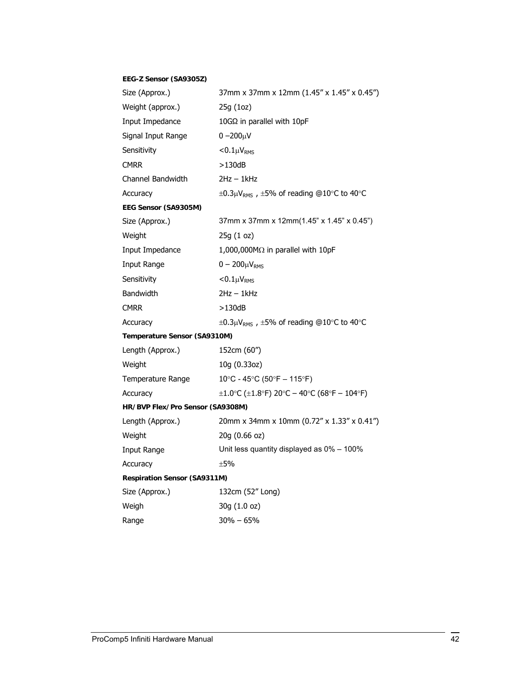| EEG-Z Sensor (SA9305Z) |  |
|------------------------|--|
|------------------------|--|

| Size (Approx.)                      | 37mm x 37mm x 12mm (1.45" x 1.45" x 0.45")                 |  |
|-------------------------------------|------------------------------------------------------------|--|
| Weight (approx.)                    | 25g (1oz)                                                  |  |
| Input Impedance                     | 10GΩ in parallel with 10pF                                 |  |
| Signal Input Range                  | $0 - 200 \mu V$                                            |  |
| Sensitivity                         | $< 0.1 \mu V_{RMS}$                                        |  |
| <b>CMRR</b>                         | >130dB                                                     |  |
| Channel Bandwidth                   | $2Hz - 1kHz$                                               |  |
| Accuracy                            | $\pm 0.3 \mu V_{RMS}$ , $\pm 5\%$ of reading @10°C to 40°C |  |
| EEG Sensor (SA9305M)                |                                                            |  |
| Size (Approx.)                      | 37mm x 37mm x 12mm(1.45" x 1.45" x 0.45")                  |  |
| Weight                              | 25g (1 oz)                                                 |  |
| Input Impedance                     | 1,000,000M $\Omega$ in parallel with 10pF                  |  |
| Input Range                         | $0 - 200 \mu V_{RMS}$                                      |  |
| Sensitivity                         | $<$ 0.1 $\mu$ V <sub>rms</sub>                             |  |
| <b>Bandwidth</b>                    | $2Hz - 1kHz$                                               |  |
| <b>CMRR</b>                         | >130dB                                                     |  |
| Accuracy                            | $\pm 0.3 \mu V_{RMS}$ , $\pm 5\%$ of reading @10°C to 40°C |  |
| Temperature Sensor (SA9310M)        |                                                            |  |
| Length (Approx.)                    | 152cm (60")                                                |  |
| Weight                              | 10g (0.33oz)                                               |  |
| Temperature Range                   | $10^{\circ}$ C - 45°C (50°F - 115°F)                       |  |
| Accuracy                            | ±1.0°C (±1.8°F) 20°C - 40°C (68°F - 104°F)                 |  |
| HR/BVP Flex/Pro Sensor (SA9308M)    |                                                            |  |
| Length (Approx.)                    | 20mm x 34mm x 10mm (0.72" x 1.33" x 0.41")                 |  |
| Weight                              | 20g (0.66 oz)                                              |  |
| Input Range                         | Unit less quantity displayed as 0% - 100%                  |  |
| Accuracy                            | ±5%                                                        |  |
| <b>Respiration Sensor (SA9311M)</b> |                                                            |  |
| Size (Approx.)                      | 132cm (52" Long)                                           |  |
| Weigh                               | 30g (1.0 oz)                                               |  |
| Range                               | $30\% - 65\%$                                              |  |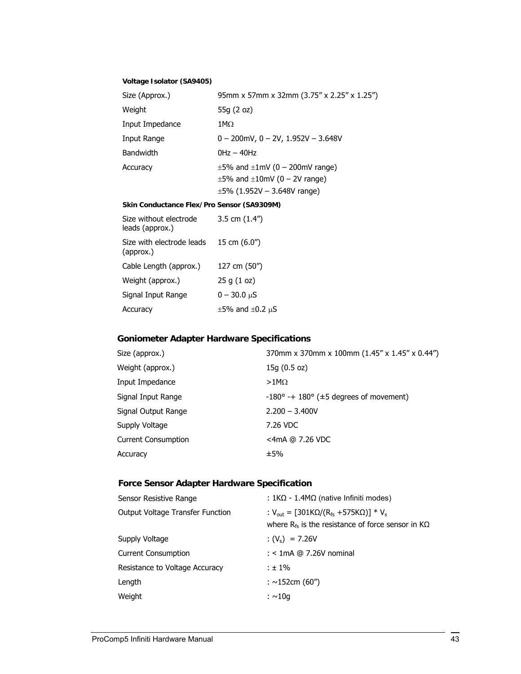#### **Voltage Isolator (SA9405)**

| Size (Approx.)   | 95mm x 57mm x 32mm (3.75" x 2.25" x 1.25")                                                                                  |
|------------------|-----------------------------------------------------------------------------------------------------------------------------|
| Weight           | 55g (2 oz)                                                                                                                  |
| Input Impedance  | $1 \text{M}\Omega$                                                                                                          |
| Input Range      | $0 - 200$ mV, $0 - 2V$ , 1.952V - 3.648V                                                                                    |
| <b>Bandwidth</b> | $0$ Hz $-$ 40Hz                                                                                                             |
| Accuracy         | $\pm 5\%$ and $\pm 1$ mV (0 - 200mV range)<br>$\pm 5\%$ and $\pm 10$ mV (0 – 2V range)<br>$\pm 5\%$ (1.952V - 3.648V range) |

**Skin Conductance Flex/Pro Sensor (SA9309M)** 

| Size without electrode<br>leads (approx.) | 3.5 cm $(1.4")$                |
|-------------------------------------------|--------------------------------|
| Size with electrode leads<br>(approx.)    | 15 cm (6.0")                   |
| Cable Length (approx.)                    | 127 cm (50")                   |
| Weight (approx.)                          | 25q(1oz)                       |
| Signal Input Range                        | $0 - 30.0 \,\mu S$             |
| Accuracy                                  | $\pm$ 5% and $\pm$ 0.2 $\mu$ S |

## **Goniometer Adapter Hardware Specifications**

| Size (approx.)             | 370mm x 370mm x 100mm (1.45" x 1.45" x 0.44")             |
|----------------------------|-----------------------------------------------------------|
| Weight (approx.)           | $15g(0.5 \text{ oz})$                                     |
| Input Impedance            | $>1$ M $\Omega$                                           |
| Signal Input Range         | $-180^{\circ}$ -+ 180 $^{\circ}$ (±5 degrees of movement) |
| Signal Output Range        | $2.200 - 3.400V$                                          |
| Supply Voltage             | 7.26 VDC                                                  |
| <b>Current Consumption</b> | <4mA @ 7.26 VDC                                           |
| Accuracy                   | ±5%                                                       |

### **Force Sensor Adapter Hardware Specification**

| Sensor Resistive Range           | : $1K\Omega - 1.4M\Omega$ (native Infiniti modes)                                                                                       |
|----------------------------------|-----------------------------------------------------------------------------------------------------------------------------------------|
| Output Voltage Transfer Function | : $V_{\text{out}} = [301K\Omega/(R_{\text{fs}} + 575K\Omega)] * V_{\text{s}}$<br>where $R_{fs}$ is the resistance of force sensor in KQ |
| Supply Voltage                   | : $(V_s) = 7.26V$                                                                                                                       |
| <b>Current Consumption</b>       | $:$ < 1mA @ 7.26V nominal                                                                                                               |
| Resistance to Voltage Accuracy   | $\pm 1\%$                                                                                                                               |
| Length                           | : ~152cm (60")                                                                                                                          |
| Weight                           | : $\sim$ 10q                                                                                                                            |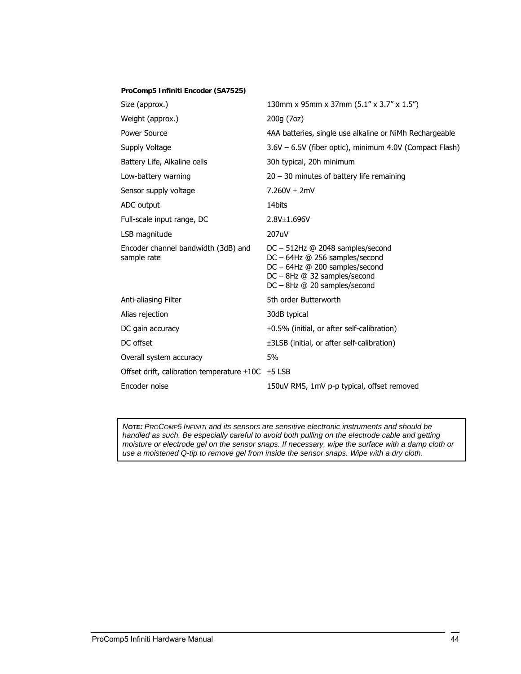| ProComp5 Infiniti Encoder (SA7525)                          |                                                                                                                                                                        |
|-------------------------------------------------------------|------------------------------------------------------------------------------------------------------------------------------------------------------------------------|
| Size (approx.)                                              | 130mm x 95mm x 37mm (5.1" x 3.7" x 1.5")                                                                                                                               |
| Weight (approx.)                                            | 200g (7oz)                                                                                                                                                             |
| Power Source                                                | 4AA batteries, single use alkaline or NiMh Rechargeable                                                                                                                |
| Supply Voltage                                              | 3.6V - 6.5V (fiber optic), minimum 4.0V (Compact Flash)                                                                                                                |
| Battery Life, Alkaline cells                                | 30h typical, 20h minimum                                                                                                                                               |
| Low-battery warning                                         | $20 - 30$ minutes of battery life remaining                                                                                                                            |
| Sensor supply voltage                                       | $7.260V \pm 2mV$                                                                                                                                                       |
| ADC output                                                  | 14bits                                                                                                                                                                 |
| Full-scale input range, DC                                  | 2.8V±1.696V                                                                                                                                                            |
| LSB magnitude                                               | 207uV                                                                                                                                                                  |
| Encoder channel bandwidth (3dB) and<br>sample rate          | DC - 512Hz @ 2048 samples/second<br>DC - 64Hz @ 256 samples/second<br>DC - 64Hz @ 200 samples/second<br>$DC - 8Hz$ @ 32 samples/second<br>DC - 8Hz @ 20 samples/second |
| Anti-aliasing Filter                                        | 5th order Butterworth                                                                                                                                                  |
| Alias rejection                                             | 30dB typical                                                                                                                                                           |
| DC gain accuracy                                            | $\pm 0.5\%$ (initial, or after self-calibration)                                                                                                                       |
| DC offset                                                   | ±3LSB (initial, or after self-calibration)                                                                                                                             |
| Overall system accuracy                                     | 5%                                                                                                                                                                     |
| Offset drift, calibration temperature $\pm 10C$ $\pm 5$ LSB |                                                                                                                                                                        |
| Encoder noise                                               | 150uV RMS, 1mV p-p typical, offset removed                                                                                                                             |

*NOTE: PROCOMP5 INFINITI and its sensors are sensitive electronic instruments and should be handled as such. Be especially careful to avoid both pulling on the electrode cable and getting moisture or electrode gel on the sensor snaps. If necessary, wipe the surface with a damp cloth or use a moistened Q-tip to remove gel from inside the sensor snaps. Wipe with a dry cloth.*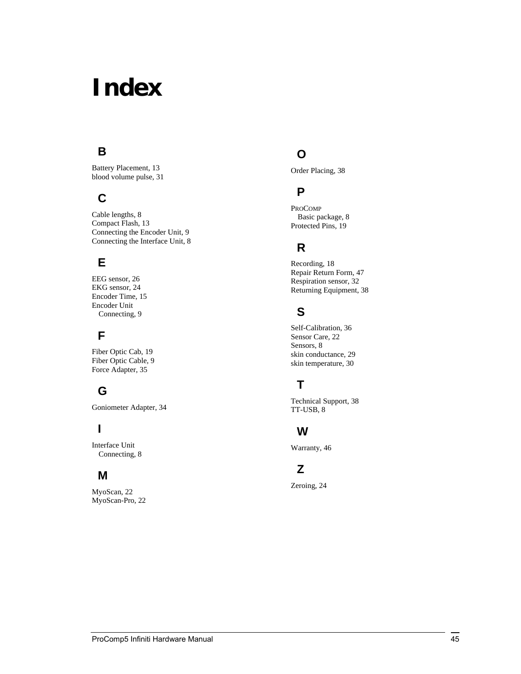# <span id="page-44-0"></span>**Index**

# **B**

Battery Placement, 13 blood volume pulse, 31

# **C**

Cable lengths, 8 Compact Flash, 13 Connecting the Encoder Unit, 9 Connecting the Interface Unit, 8

# **E**

EEG sensor, 26 EKG sensor, 24 Encoder Time, 15 Encoder Unit Connecting, 9

# **F**

Fiber Optic Cab, 19 Fiber Optic Cable, 9 Force Adapter, 35

# **G**

Goniometer Adapter, 34

# **I**

Interface Unit Connecting, 8

## **M**

MyoScan, 22 MyoScan-Pro, 22

## **O**

Order Placing, 38

# **P**

PROCOMP Basic package, 8 Protected Pins, 19

# **R**

Recording, 18 Repair Return Form, 47 Respiration sensor, 32 Returning Equipment, 38

# **S**

Self-Calibration, 36 Sensor Care, 22 Sensors, 8 skin conductance, 29 skin temperature, 30

# **T**

Technical Support, 38 TT-USB, 8

## **W**

Warranty, 46

# **Z**

Zeroing, 24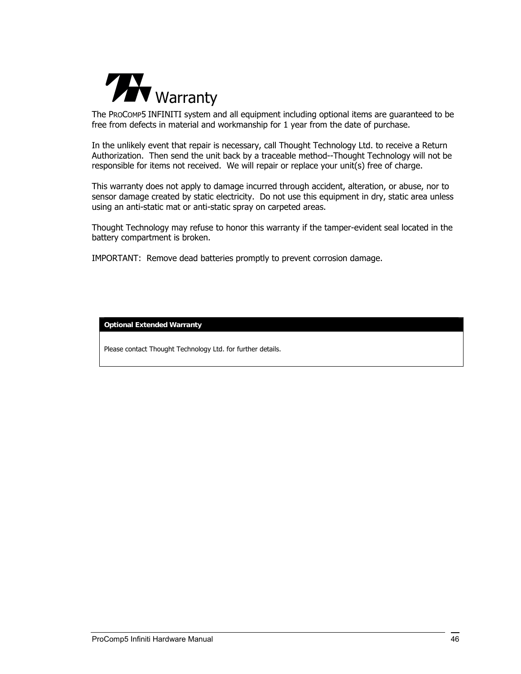

The PROCOMP5 INFINITI system and all equipment including optional items are guaranteed to be free from defects in material and workmanship for 1 year from the date of purchase.

In the unlikely event that repair is necessary, call Thought Technology Ltd. to receive a Return Authorization. Then send the unit back by a traceable method--Thought Technology will not be responsible for items not received. We will repair or replace your unit(s) free of charge.

This warranty does not apply to damage incurred through accident, alteration, or abuse, nor to sensor damage created by static electricity. Do not use this equipment in dry, static area unless using an anti-static mat or anti-static spray on carpeted areas.

Thought Technology may refuse to honor this warranty if the tamper-evident seal located in the battery compartment is broken.

IMPORTANT: Remove dead batteries promptly to prevent corrosion damage.

**Optional Extended Warranty** 

Please contact Thought Technology Ltd. for further details.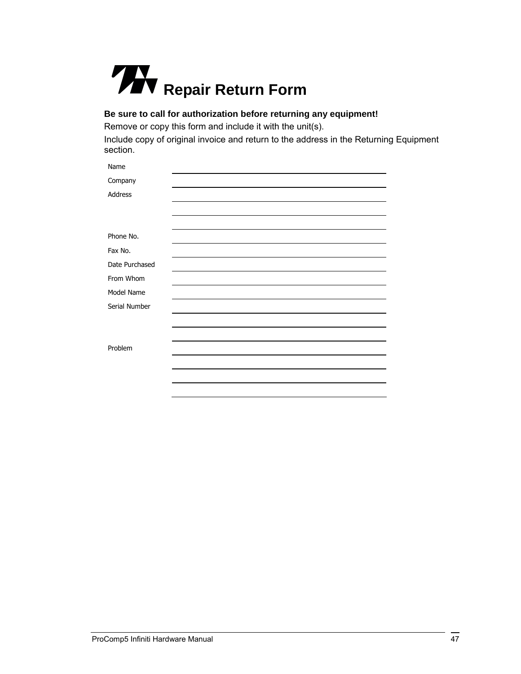

### **Be sure to call for authorization before returning any equipment!**

Remove or copy this form and include it with the unit(s).

Include copy of original invoice and return to the address in the Returning Equipment section.

| Name           |  |  |
|----------------|--|--|
| Company        |  |  |
| Address        |  |  |
|                |  |  |
|                |  |  |
| Phone No.      |  |  |
| Fax No.        |  |  |
| Date Purchased |  |  |
| From Whom      |  |  |
| Model Name     |  |  |
| Serial Number  |  |  |
|                |  |  |
|                |  |  |
| Problem        |  |  |
|                |  |  |
|                |  |  |
|                |  |  |